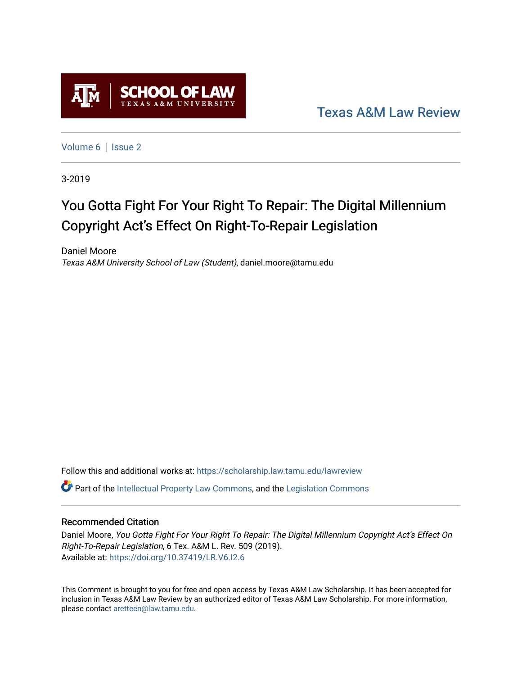

[Texas A&M Law Review](https://scholarship.law.tamu.edu/lawreview) 

[Volume 6](https://scholarship.law.tamu.edu/lawreview/vol6) | Issue 2

3-2019

# You Gotta Fight For Your Right To Repair: The Digital Millennium Copyright Act's Effect On Right-To-Repair Legislation

Daniel Moore Texas A&M University School of Law (Student), daniel.moore@tamu.edu

Follow this and additional works at: [https://scholarship.law.tamu.edu/lawreview](https://scholarship.law.tamu.edu/lawreview?utm_source=scholarship.law.tamu.edu%2Flawreview%2Fvol6%2Fiss2%2F7&utm_medium=PDF&utm_campaign=PDFCoverPages)  $\bullet$  Part of the [Intellectual Property Law Commons,](http://network.bepress.com/hgg/discipline/896?utm_source=scholarship.law.tamu.edu%2Flawreview%2Fvol6%2Fiss2%2F7&utm_medium=PDF&utm_campaign=PDFCoverPages) and the Legislation Commons

## Recommended Citation

Daniel Moore, You Gotta Fight For Your Right To Repair: The Digital Millennium Copyright Act's Effect On Right-To-Repair Legislation, 6 Tex. A&M L. Rev. 509 (2019). Available at:<https://doi.org/10.37419/LR.V6.I2.6>

This Comment is brought to you for free and open access by Texas A&M Law Scholarship. It has been accepted for inclusion in Texas A&M Law Review by an authorized editor of Texas A&M Law Scholarship. For more information, please contact [aretteen@law.tamu.edu.](mailto:aretteen@law.tamu.edu)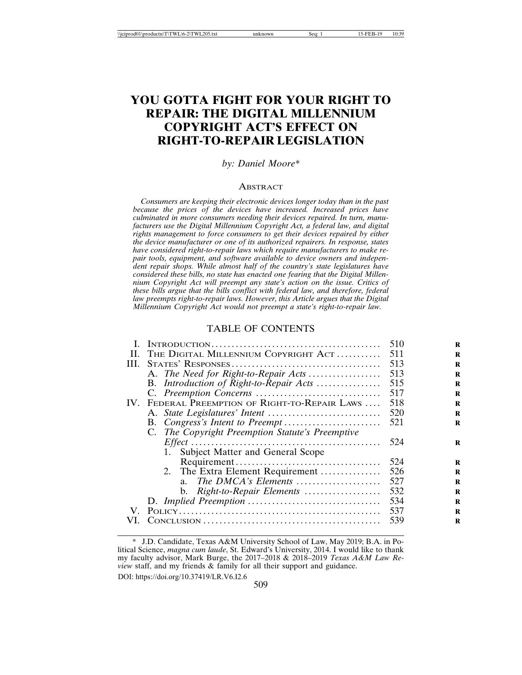# **YOU GOTTA FIGHT FOR YOUR RIGHT TO REPAIR: THE DIGITAL MILLENNIUM COPYRIGHT ACT'S EFFECT ON RIGHT-TO-REPAIR LEGISLATION**

#### *by: Daniel Moore\**

#### **ABSTRACT**

*Consumers are keeping their electronic devices longer today than in the past because the prices of the devices have increased. Increased prices have culminated in more consumers needing their devices repaired. In turn, manufacturers use the Digital Millennium Copyright Act, a federal law, and digital rights management to force consumers to get their devices repaired by either the device manufacturer or one of its authorized repairers. In response, states have considered right-to-repair laws which require manufacturers to make repair tools, equipment, and software available to device owners and independent repair shops. While almost half of the country's state legislatures have considered these bills, no state has enacted one fearing that the Digital Millennium Copyright Act will preempt any state's action on the issue. Critics of these bills argue that the bills conflict with federal law, and therefore, federal law preempts right-to-repair laws. However, this Article argues that the Digital Millennium Copyright Act would not preempt a state's right-to-repair law.*

#### TABLE OF CONTENTS

|      |                                                                                                    | 510 |
|------|----------------------------------------------------------------------------------------------------|-----|
| Н.   | THE DIGITAL MILLENNIUM COPYRIGHT ACT                                                               | 511 |
| III. |                                                                                                    | 513 |
|      | A. The Need for Right-to-Repair Acts                                                               | 513 |
|      | B. Introduction of Right-to-Repair Acts                                                            | 515 |
|      |                                                                                                    | 517 |
| IV.  | FEDERAL PREEMPTION OF RIGHT-TO-REPAIR LAWS                                                         | 518 |
|      |                                                                                                    | 520 |
|      |                                                                                                    | 521 |
|      | C. The Copyright Preemption Statute's Preemptive                                                   |     |
|      | $Effect \dots \dots \dots \dots \dots \dots \dots \dots \dots \dots \dots \dots \dots \dots \dots$ | 524 |
|      | Subject Matter and General Scope<br>1.                                                             |     |
|      |                                                                                                    | 524 |
|      | 2. The Extra Element Requirement                                                                   | 526 |
|      | The DMCA's Elements                                                                                | 527 |
|      | b. Right-to-Repair Elements                                                                        | 532 |
|      |                                                                                                    | 534 |
| V.   |                                                                                                    | 537 |
|      |                                                                                                    | 539 |
|      |                                                                                                    |     |

DOI: https://doi.org/10.37419/LR.V6.I2.6

<sup>\*</sup> J.D. Candidate, Texas A&M University School of Law, May 2019; B.A. in Political Science, *magna cum laude*, St. Edward's University, 2014. I would like to thank my faculty advisor, Mark Burge, the 2017–2018 & 2018–2019 *Texas A&M Law Review* staff, and my friends & family for all their support and guidance.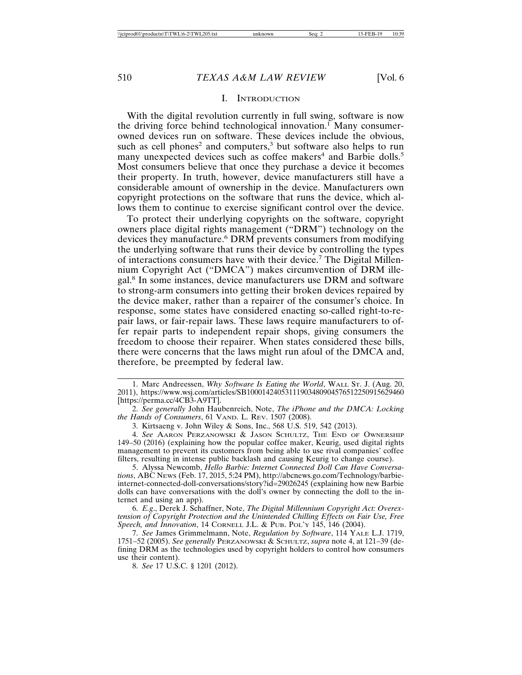#### I. INTRODUCTION

With the digital revolution currently in full swing, software is now the driving force behind technological innovation.<sup>I</sup> Many consumerowned devices run on software. These devices include the obvious, such as cell phones<sup>2</sup> and computers,<sup>3</sup> but software also helps to run many unexpected devices such as coffee makers<sup>4</sup> and Barbie dolls.<sup>5</sup> Most consumers believe that once they purchase a device it becomes their property. In truth, however, device manufacturers still have a considerable amount of ownership in the device. Manufacturers own copyright protections on the software that runs the device, which allows them to continue to exercise significant control over the device.

To protect their underlying copyrights on the software, copyright owners place digital rights management ("DRM") technology on the devices they manufacture.<sup>6</sup> DRM prevents consumers from modifying the underlying software that runs their device by controlling the types of interactions consumers have with their device.<sup>7</sup> The Digital Millennium Copyright Act ("DMCA") makes circumvention of DRM illegal.<sup>8</sup> In some instances, device manufacturers use DRM and software to strong-arm consumers into getting their broken devices repaired by the device maker, rather than a repairer of the consumer's choice. In response, some states have considered enacting so-called right-to-repair laws, or fair-repair laws. These laws require manufacturers to offer repair parts to independent repair shops, giving consumers the freedom to choose their repairer. When states considered these bills, there were concerns that the laws might run afoul of the DMCA and, therefore, be preempted by federal law.

1. Marc Andreessen, *Why Software Is Eating the World*, WALL ST. J. (Aug. 20, 2011), https://www.wsj.com/articles/SB10001424053111903480904576512250915629460 [https://perma.cc/4CB3-A9TT].

2. *See generally* John Haubenreich, Note, *The iPhone and the DMCA: Locking the Hands of Consumers*, 61 VAND. L. REV. 1507 (2008).

3. Kirtsaeng v. John Wiley & Sons, Inc., 568 U.S. 519, 542 (2013).

4. *See* AARON PERZANOWSKI & JASON SCHULTZ, THE END OF OWNERSHIP 149–50 (2016) (explaining how the popular coffee maker, Keurig, used digital rights management to prevent its customers from being able to use rival companies' coffee filters, resulting in intense public backlash and causing Keurig to change course).

5. Alyssa Newcomb, *Hello Barbie: Internet Connected Doll Can Have Conversations*, ABC NEWS (Feb. 17, 2015, 5:24 PM), http://abcnews.go.com/Technology/barbieinternet-connected-doll-conversations/story?id=29026245 (explaining how new Barbie dolls can have conversations with the doll's owner by connecting the doll to the internet and using an app).

6. *E.g*., Derek J. Schaffner, Note, *The Digital Millennium Copyright Act: Overextension of Copyright Protection and the Unintended Chilling Effects on Fair Use, Free Speech, and Innovation*, 14 CORNELL J.L. & PUB. POL'Y 145, 146 (2004).

7. *See* James Grimmelmann, Note, *Regulation by Software*, 114 YALE L.J. 1719, 1751–52 (2005). *See generally* PERZANOWSKI & SCHULTZ, *supra* note 4, at 121–39 (defining DRM as the technologies used by copyright holders to control how consumers use their content).

8. *See* 17 U.S.C. § 1201 (2012).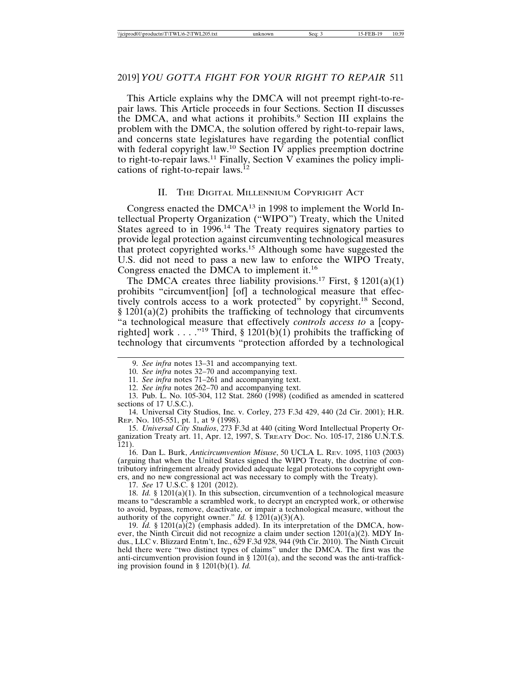# 2019] *YOU GOTTA FIGHT FOR YOUR RIGHT TO REPAIR* 511

This Article explains why the DMCA will not preempt right-to-repair laws. This Article proceeds in four Sections. Section II discusses the DMCA, and what actions it prohibits.<sup>9</sup> Section III explains the problem with the DMCA, the solution offered by right-to-repair laws, and concerns state legislatures have regarding the potential conflict with federal copyright law.<sup>10</sup> Section IV applies preemption doctrine to right-to-repair laws.<sup>11</sup> Finally, Section V examines the policy implications of right-to-repair laws.<sup>12</sup>

#### II. THE DIGITAL MILLENNIUM COPYRIGHT ACT

Congress enacted the  $DMCA^{13}$  in 1998 to implement the World Intellectual Property Organization ("WIPO") Treaty, which the United States agreed to in 1996.<sup>14</sup> The Treaty requires signatory parties to provide legal protection against circumventing technological measures that protect copyrighted works.15 Although some have suggested the U.S. did not need to pass a new law to enforce the WIPO Treaty, Congress enacted the DMCA to implement it.<sup>16</sup>

The DMCA creates three liability provisions.<sup>17</sup> First,  $\S$  1201(a)(1) prohibits "circumvent[ion] [of] a technological measure that effectively controls access to a work protected" by copyright.<sup>18</sup> Second, § 1201(a)(2) prohibits the trafficking of technology that circumvents "a technological measure that effectively *controls access to* a [copyrighted] work . . . . "<sup>19</sup> Third, § 1201(b)(1) prohibits the trafficking of technology that circumvents "protection afforded by a technological

10. *See infra* notes 32–70 and accompanying text.

11. *See infra* notes 71–261 and accompanying text.

12. *See infra* notes 262–70 and accompanying text.

13. Pub. L. No. 105-304, 112 Stat. 2860 (1998) (codified as amended in scattered sections of 17 U.S.C.).

14. Universal City Studios, Inc. v. Corley, 273 F.3d 429, 440 (2d Cir. 2001); H.R. REP. NO. 105-551, pt. 1, at 9 (1998).

15. *Universal City Studios*, 273 F.3d at 440 (citing Word Intellectual Property Organization Treaty art. 11, Apr. 12, 1997, S. TREATY DOC. NO. 105-17, 2186 U.N.T.S.  $121$ ).

16. Dan L. Burk, *Anticircumvention Misuse*, 50 UCLA L. REV. 1095, 1103 (2003) (arguing that when the United States signed the WIPO Treaty, the doctrine of contributory infringement already provided adequate legal protections to copyright owners, and no new congressional act was necessary to comply with the Treaty).

17. *See* 17 U.S.C. § 1201 (2012).

18. *Id.* § 1201(a)(1). In this subsection, circumvention of a technological measure means to "descramble a scrambled work, to decrypt an encrypted work, or otherwise to avoid, bypass, remove, deactivate, or impair a technological measure, without the authority of the copyright owner." *Id.* §  $1201(a)(3)(A)$ .

19.  $Id.$  § 1201(a) $(2)$  (emphasis added). In its interpretation of the DMCA, however, the Ninth Circuit did not recognize a claim under section 1201(a)(2). MDY Indus., LLC v. Blizzard Entm't, Inc., 629 F.3d 928, 944 (9th Cir. 2010). The Ninth Circuit held there were "two distinct types of claims" under the DMCA. The first was the anti-circumvention provision found in  $\S$  1201(a), and the second was the anti-trafficking provision found in § 1201(b)(1). *Id.*

<sup>9.</sup> *See infra* notes 13–31 and accompanying text.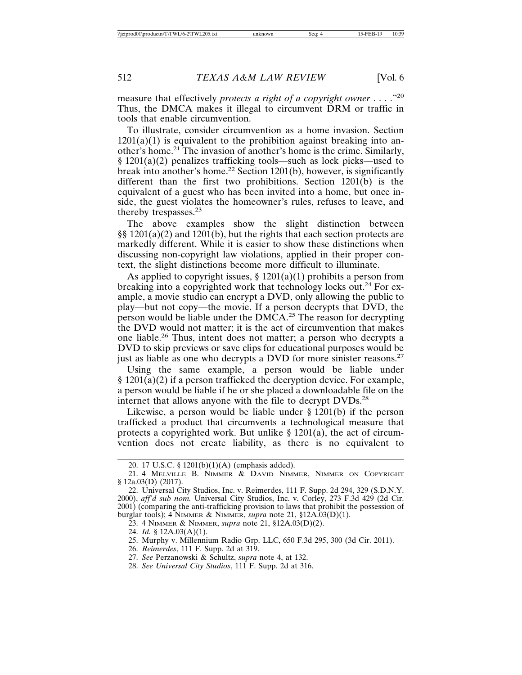measure that effectively *protects a right of a copyright owner* . . . ."20 Thus, the DMCA makes it illegal to circumvent DRM or traffic in tools that enable circumvention.

To illustrate, consider circumvention as a home invasion. Section  $1201(a)(1)$  is equivalent to the prohibition against breaking into another's home.21 The invasion of another's home is the crime. Similarly, § 1201(a)(2) penalizes trafficking tools—such as lock picks—used to break into another's home.<sup>22</sup> Section 1201(b), however, is significantly different than the first two prohibitions. Section 1201(b) is the equivalent of a guest who has been invited into a home, but once inside, the guest violates the homeowner's rules, refuses to leave, and thereby trespasses.<sup>23</sup>

The above examples show the slight distinction between  $\S$ § 1201(a)(2) and 1201(b), but the rights that each section protects are markedly different. While it is easier to show these distinctions when discussing non-copyright law violations, applied in their proper context, the slight distinctions become more difficult to illuminate.

As applied to copyright issues,  $\S 1201(a)(1)$  prohibits a person from breaking into a copyrighted work that technology locks out.<sup>24</sup> For example, a movie studio can encrypt a DVD, only allowing the public to play—but not copy—the movie. If a person decrypts that DVD, the person would be liable under the DMCA.25 The reason for decrypting the DVD would not matter; it is the act of circumvention that makes one liable.26 Thus, intent does not matter; a person who decrypts a DVD to skip previews or save clips for educational purposes would be just as liable as one who decrypts a DVD for more sinister reasons.<sup>27</sup>

Using the same example, a person would be liable under  $§ 1201(a)(2)$  if a person trafficked the decryption device. For example, a person would be liable if he or she placed a downloadable file on the internet that allows anyone with the file to decrypt DVDs.<sup>28</sup>

Likewise, a person would be liable under § 1201(b) if the person trafficked a product that circumvents a technological measure that protects a copyrighted work. But unlike  $\S 1201(a)$ , the act of circumvention does not create liability, as there is no equivalent to

- 24. *Id.* § 12A.03(A)(1).
- 25. Murphy v. Millennium Radio Grp. LLC, 650 F.3d 295, 300 (3d Cir. 2011).
- 26. *Reimerdes*, 111 F. Supp. 2d at 319.
- 27. *See* Perzanowski & Schultz, *supra* note 4, at 132.
- 28. *See Universal City Studios*, 111 F. Supp. 2d at 316.

<sup>20. 17</sup> U.S.C. § 1201(b)(1)(A) (emphasis added).

<sup>21. 4</sup> MELVILLE B. NIMMER & DAVID NIMMER, NIMMER ON COPYRIGHT § 12a.03(D) (2017).

<sup>22.</sup> Universal City Studios, Inc. v. Reimerdes, 111 F. Supp. 2d 294, 329 (S.D.N.Y. 2000), *aff'd sub nom.* Universal City Studios, Inc. v. Corley, 273 F.3d 429 (2d Cir. 2001) (comparing the anti-trafficking provision to laws that prohibit the possession of burglar tools); 4 NIMMER & NIMMER, *supra* note 21, §12A.03(D)(1).

<sup>23. 4</sup> NIMMER & NIMMER, *supra* note 21, §12A.03(D)(2).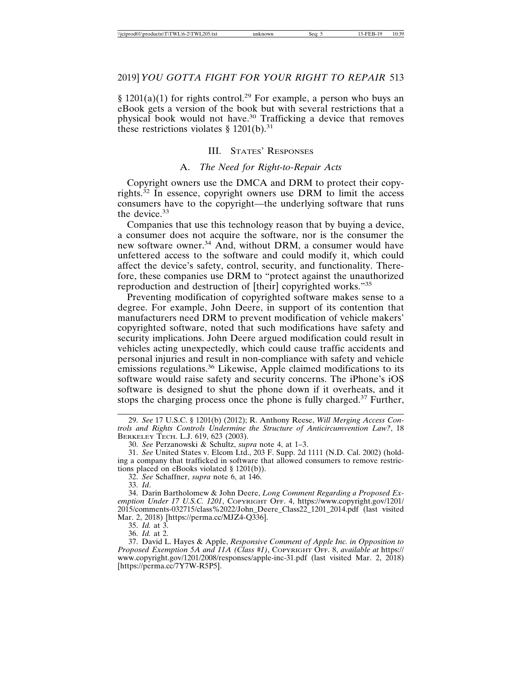§ 1201(a)(1) for rights control.<sup>29</sup> For example, a person who buys an eBook gets a version of the book but with several restrictions that a physical book would not have.<sup>30</sup> Trafficking a device that removes these restrictions violates  $\S 1201(b).$ <sup>31</sup>

#### III. STATES' RESPONSES

#### A. *The Need for Right-to-Repair Acts*

Copyright owners use the DMCA and DRM to protect their copyrights.<sup>32</sup> In essence, copyright owners use DRM to limit the access consumers have to the copyright—the underlying software that runs the device.<sup>33</sup>

Companies that use this technology reason that by buying a device, a consumer does not acquire the software, nor is the consumer the new software owner.<sup>34</sup> And, without DRM, a consumer would have unfettered access to the software and could modify it, which could affect the device's safety, control, security, and functionality. Therefore, these companies use DRM to "protect against the unauthorized reproduction and destruction of [their] copyrighted works."<sup>35</sup>

Preventing modification of copyrighted software makes sense to a degree. For example, John Deere, in support of its contention that manufacturers need DRM to prevent modification of vehicle makers' copyrighted software, noted that such modifications have safety and security implications. John Deere argued modification could result in vehicles acting unexpectedly, which could cause traffic accidents and personal injuries and result in non-compliance with safety and vehicle emissions regulations.<sup>36</sup> Likewise, Apple claimed modifications to its software would raise safety and security concerns. The iPhone's iOS software is designed to shut the phone down if it overheats, and it stops the charging process once the phone is fully charged.37 Further,

32. *See* Schaffner, *supra* note 6, at 146.

33. *Id*.

34. Darin Bartholomew & John Deere, *Long Comment Regarding a Proposed Exemption Under 17 U.S.C. 1201*, COPYRIGHT OFF. 4, https://www.copyright.gov/1201/ 2015/comments-032715/class%2022/John\_Deere\_Class22\_1201\_2014.pdf (last visited Mar. 2, 2018) [https://perma.cc/MJZ4-Q336].

35. *Id.* at 3.

36. *Id.* at 2.

37. David L. Hayes & Apple, *Responsive Comment of Apple Inc. in Opposition to Proposed Exemption 5A and 11A (Class #1)*, COPYRIGHT OFF. 8, *available at* https:// www.copyright.gov/1201/2008/responses/apple-inc-31.pdf (last visited Mar. 2, 2018) [https://perma.cc/7Y7W-R5P5].

<sup>29.</sup> *See* 17 U.S.C. § 1201(b) (2012); R. Anthony Reese, *Will Merging Access Controls and Rights Controls Undermine the Structure of Anticircumvention Law?*, 18 BERKELEY TECH. L.J. 619, 623 (2003).

<sup>30.</sup> *See* Perzanowski & Schultz, *supra* note 4, at 1–3.

<sup>31.</sup> *See* United States v. Elcom Ltd., 203 F. Supp. 2d 1111 (N.D. Cal. 2002) (holding a company that trafficked in software that allowed consumers to remove restrictions placed on eBooks violated § 1201(b)).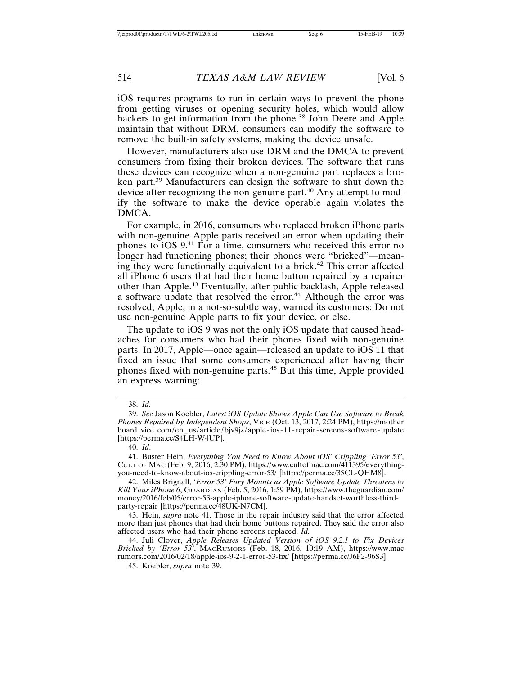iOS requires programs to run in certain ways to prevent the phone from getting viruses or opening security holes, which would allow hackers to get information from the phone.<sup>38</sup> John Deere and Apple maintain that without DRM, consumers can modify the software to remove the built-in safety systems, making the device unsafe.

However, manufacturers also use DRM and the DMCA to prevent consumers from fixing their broken devices. The software that runs these devices can recognize when a non-genuine part replaces a broken part.39 Manufacturers can design the software to shut down the device after recognizing the non-genuine part.<sup>40</sup> Any attempt to modify the software to make the device operable again violates the DMCA.

For example, in 2016, consumers who replaced broken iPhone parts with non-genuine Apple parts received an error when updating their phones to iOS 9.41 For a time, consumers who received this error no longer had functioning phones; their phones were "bricked"—meaning they were functionally equivalent to a brick.42 This error affected all iPhone 6 users that had their home button repaired by a repairer other than Apple.43 Eventually, after public backlash, Apple released a software update that resolved the error.<sup>44</sup> Although the error was resolved, Apple, in a not-so-subtle way, warned its customers: Do not use non-genuine Apple parts to fix your device, or else.

The update to iOS 9 was not the only iOS update that caused headaches for consumers who had their phones fixed with non-genuine parts. In 2017, Apple—once again—released an update to iOS 11 that fixed an issue that some consumers experienced after having their phones fixed with non-genuine parts.45 But this time, Apple provided an express warning:

45. Koebler, *supra* note 39.

<sup>38.</sup> *Id.*

<sup>39.</sup> *See* Jason Koebler, *Latest iOS Update Shows Apple Can Use Software to Break Phones Repaired by Independent Shops*, VICE (Oct. 13, 2017, 2:24 PM), https://mother board.vice.com/en\_us/article/bjv9jz/apple-ios-11-repair-screens-software-update [https://perma.cc/S4LH-W4UP].

<sup>40.</sup> *Id*.

<sup>41.</sup> Buster Hein, *Everything You Need to Know About iOS' Crippling 'Error 53'*, CULT OF MAC (Feb. 9, 2016, 2:30 PM), https://www.cultofmac.com/411395/everythingyou-need-to-know-about-ios-crippling-error-53/ [https://perma.cc/35CL-QHM8].

<sup>42.</sup> Miles Brignall, *'Error 53' Fury Mounts as Apple Software Update Threatens to Kill Your iPhone 6*, GUARDIAN (Feb. 5, 2016, 1:59 PM), https://www.theguardian.com/ money/2016/feb/05/error-53-apple-iphone-software-update-handset-worthless-thirdparty-repair [https://perma.cc/48UK-N7CM].

<sup>43.</sup> Hein, *supra* note 41. Those in the repair industry said that the error affected more than just phones that had their home buttons repaired. They said the error also affected users who had their phone screens replaced. *Id.*

<sup>44.</sup> Juli Clover, *Apple Releases Updated Version of iOS 9.2.1 to Fix Devices Bricked by 'Error 53'*, MACRUMORS (Feb. 18, 2016, 10:19 AM), https://www.mac rumors.com/2016/02/18/apple-ios-9-2-1-error-53-fix/ [https://perma.cc/J6F2-96S3].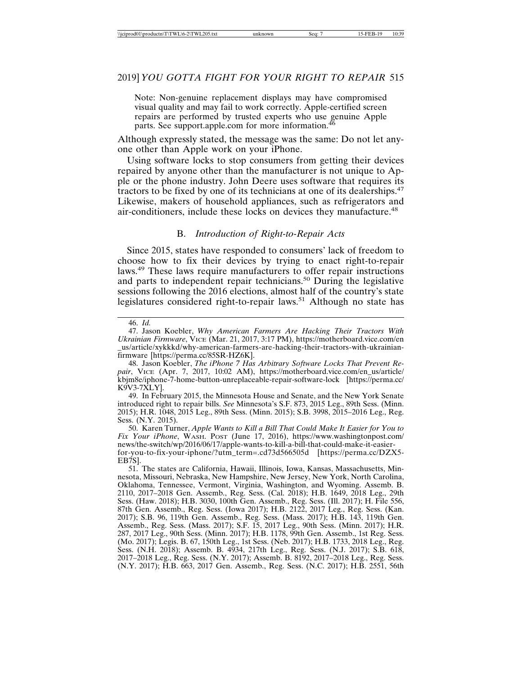Note: Non-genuine replacement displays may have compromised visual quality and may fail to work correctly. Apple-certified screen repairs are performed by trusted experts who use genuine Apple parts. See support.apple.com for more information.<sup>46</sup>

Although expressly stated, the message was the same: Do not let anyone other than Apple work on your iPhone.

Using software locks to stop consumers from getting their devices repaired by anyone other than the manufacturer is not unique to Apple or the phone industry. John Deere uses software that requires its tractors to be fixed by one of its technicians at one of its dealerships.47 Likewise, makers of household appliances, such as refrigerators and air-conditioners, include these locks on devices they manufacture.<sup>48</sup>

### B. *Introduction of Right-to-Repair Acts*

Since 2015, states have responded to consumers' lack of freedom to choose how to fix their devices by trying to enact right-to-repair laws.49 These laws require manufacturers to offer repair instructions and parts to independent repair technicians.<sup>50</sup> During the legislative sessions following the 2016 elections, almost half of the country's state legislatures considered right-to-repair laws.<sup>51</sup> Although no state has

49. In February 2015, the Minnesota House and Senate, and the New York Senate introduced right to repair bills. *See* Minnesota's S.F. 873, 2015 Leg., 89th Sess. (Minn. 2015); H.R. 1048, 2015 Leg., 89th Sess. (Minn. 2015); S.B. 3998, 2015–2016 Leg., Reg. Sess. (N.Y. 2015).

50. Karen Turner, *Apple Wants to Kill a Bill That Could Make It Easier for You to Fix Your iPhone*, WASH. POST (June 17, 2016), https://www.washingtonpost.com/ news/the-switch/wp/2016/06/17/apple-wants-to-kill-a-bill-that-could-make-it-easierfor-you-to-fix-your-iphone/?utm\_term=.cd73d566505d [https://perma.cc/DZX5- EB7S].

<sup>46.</sup> *Id.*

<sup>47.</sup> Jason Koebler, *Why American Farmers Are Hacking Their Tractors With Ukrainian Firmware*, VICE (Mar. 21, 2017, 3:17 PM), https://motherboard.vice.com/en \_us/article/xykkkd/why-american-farmers-are-hacking-their-tractors-with-ukrainianfirmware [https://perma.cc/85SR-HZ6K].

<sup>48.</sup> Jason Koebler, *The iPhone 7 Has Arbitrary Software Locks That Prevent Repair*, VICE (Apr. 7, 2017, 10:02 AM), https://motherboard.vice.com/en\_us/article/ kbjm8e/iphone-7-home-button-unreplaceable-repair-software-lock [https://perma.cc/ K9V3-7XLY].

<sup>51.</sup> The states are California, Hawaii, Illinois, Iowa, Kansas, Massachusetts, Minnesota, Missouri, Nebraska, New Hampshire, New Jersey, New York, North Carolina, Oklahoma, Tennessee, Vermont, Virginia, Washington, and Wyoming. Assemb. B. 2110, 2017–2018 Gen. Assemb., Reg. Sess. (Cal. 2018); H.B. 1649, 2018 Leg., 29th Sess. (Haw. 2018); H.B. 3030, 100th Gen. Assemb., Reg. Sess. (Ill. 2017); H. File 556, 87th Gen. Assemb., Reg. Sess. (Iowa 2017); H.B. 2122, 2017 Leg., Reg. Sess. (Kan. 2017); S.B. 96, 119th Gen. Assemb., Reg. Sess. (Mass. 2017); H.B. 143, 119th Gen. Assemb., Reg. Sess. (Mass. 2017); S.F. 15, 2017 Leg., 90th Sess. (Minn. 2017); H.R. 287, 2017 Leg., 90th Sess. (Minn. 2017); H.B. 1178, 99th Gen. Assemb., 1st Reg. Sess. (Mo. 2017); Legis. B. 67, 150th Leg., 1st Sess. (Neb. 2017); H.B. 1733, 2018 Leg., Reg. Sess. (N.H. 2018); Assemb. B. 4934, 217th Leg., Reg. Sess. (N.J. 2017); S.B. 618, 2017–2018 Leg., Reg. Sess. (N.Y. 2017); Assemb. B. 8192, 2017–2018 Leg., Reg. Sess. (N.Y. 2017); H.B. 663, 2017 Gen. Assemb., Reg. Sess. (N.C. 2017); H.B. 2551, 56th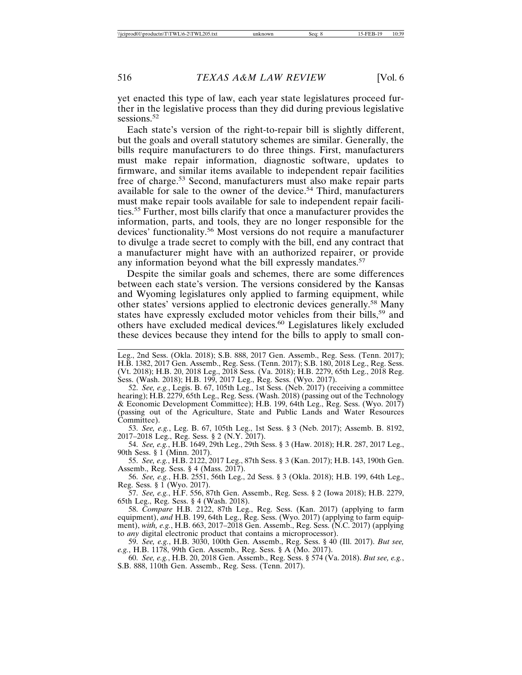yet enacted this type of law, each year state legislatures proceed further in the legislative process than they did during previous legislative sessions.<sup>52</sup>

Each state's version of the right-to-repair bill is slightly different, but the goals and overall statutory schemes are similar. Generally, the bills require manufacturers to do three things. First, manufacturers must make repair information, diagnostic software, updates to firmware, and similar items available to independent repair facilities free of charge.<sup>53</sup> Second, manufacturers must also make repair parts available for sale to the owner of the device.<sup>54</sup> Third, manufacturers must make repair tools available for sale to independent repair facilities.55 Further, most bills clarify that once a manufacturer provides the information, parts, and tools, they are no longer responsible for the devices' functionality.56 Most versions do not require a manufacturer to divulge a trade secret to comply with the bill, end any contract that a manufacturer might have with an authorized repairer, or provide any information beyond what the bill expressly mandates.<sup>57</sup>

Despite the similar goals and schemes, there are some differences between each state's version. The versions considered by the Kansas and Wyoming legislatures only applied to farming equipment, while other states' versions applied to electronic devices generally.58 Many states have expressly excluded motor vehicles from their bills,<sup>59</sup> and others have excluded medical devices.60 Legislatures likely excluded these devices because they intend for the bills to apply to small con-

52. *See, e.g.*, Legis. B. 67, 105th Leg., 1st Sess. (Neb. 2017) (receiving a committee hearing); H.B. 2279, 65th Leg., Reg. Sess. (Wash. 2018) (passing out of the Technology & Economic Development Committee); H.B. 199, 64th Leg., Reg. Sess. (Wyo. 2017) (passing out of the Agriculture, State and Public Lands and Water Resources Committee).

53. *See, e.g.*, Leg. B. 67, 105th Leg., 1st Sess. § 3 (Neb. 2017); Assemb. B. 8192, 2017–2018 Leg., Reg. Sess. § 2 (N.Y. 2017).

54. *See, e.g.*, H.B. 1649, 29th Leg., 29th Sess. § 3 (Haw. 2018); H.R. 287, 2017 Leg., 90th Sess. § 1 (Minn. 2017).

55. *See, e.g.*, H.B. 2122, 2017 Leg., 87th Sess. § 3 (Kan. 2017); H.B. 143, 190th Gen. Assemb., Reg. Sess. § 4 (Mass. 2017).

56. *See, e.g.*, H.B. 2551, 56th Leg., 2d Sess. § 3 (Okla. 2018); H.B. 199, 64th Leg., Reg. Sess. § 1 (Wyo. 2017).

57. *See, e.g.*, H.F. 556, 87th Gen. Assemb., Reg. Sess. § 2 (Iowa 2018); H.B. 2279, 65th Leg., Reg. Sess. § 4 (Wash. 2018).

58. *Compare* H.B. 2122, 87th Leg., Reg. Sess. (Kan. 2017) (applying to farm equipment), *and* H.B. 199, 64th Leg., Reg. Sess. (Wyo. 2017) (applying to farm equipment), *with, e.g.*, H.B. 663, 2017–2018 Gen. Assemb., Reg. Sess. (N.C. 2017) (applying to *any* digital electronic product that contains a microprocessor).

59. *See, e.g.*, H.B. 3030, 100th Gen. Assemb., Reg. Sess. § 40 (Ill. 2017). *But see, e.g.*, H.B. 1178, 99th Gen. Assemb., Reg. Sess. § A (Mo. 2017).

60. *See, e.g.*, H.B. 20, 2018 Gen. Assemb., Reg. Sess. § 574 (Va. 2018). *But see, e.g.*, S.B. 888, 110th Gen. Assemb., Reg. Sess. (Tenn. 2017).

Leg., 2nd Sess. (Okla. 2018); S.B. 888, 2017 Gen. Assemb., Reg. Sess. (Tenn. 2017); H.B. 1382, 2017 Gen. Assemb., Reg. Sess. (Tenn. 2017); S.B. 180, 2018 Leg., Reg. Sess. (Vt. 2018); H.B. 20, 2018 Leg., 2018 Sess. (Va. 2018); H.B. 2279, 65th Leg., 2018 Reg. Sess. (Wash. 2018); H.B. 199, 2017 Leg., Reg. Sess. (Wyo. 2017).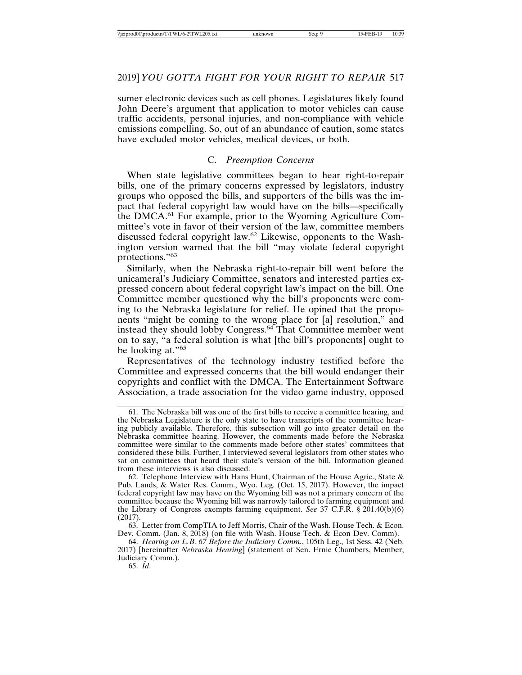sumer electronic devices such as cell phones. Legislatures likely found John Deere's argument that application to motor vehicles can cause traffic accidents, personal injuries, and non-compliance with vehicle emissions compelling. So, out of an abundance of caution, some states have excluded motor vehicles, medical devices, or both.

#### C. *Preemption Concerns*

When state legislative committees began to hear right-to-repair bills, one of the primary concerns expressed by legislators, industry groups who opposed the bills, and supporters of the bills was the impact that federal copyright law would have on the bills—specifically the DMCA.61 For example, prior to the Wyoming Agriculture Committee's vote in favor of their version of the law, committee members discussed federal copyright law.62 Likewise, opponents to the Washington version warned that the bill "may violate federal copyright protections."<sup>63</sup>

Similarly, when the Nebraska right-to-repair bill went before the unicameral's Judiciary Committee, senators and interested parties expressed concern about federal copyright law's impact on the bill. One Committee member questioned why the bill's proponents were coming to the Nebraska legislature for relief. He opined that the proponents "might be coming to the wrong place for [a] resolution," and instead they should lobby Congress.<sup>64</sup> That Committee member went on to say, "a federal solution is what [the bill's proponents] ought to be looking at."<sup>65</sup>

Representatives of the technology industry testified before the Committee and expressed concerns that the bill would endanger their copyrights and conflict with the DMCA. The Entertainment Software Association, a trade association for the video game industry, opposed

62. Telephone Interview with Hans Hunt, Chairman of the House Agric., State & Pub. Lands, & Water Res. Comm., Wyo. Leg. (Oct. 15, 2017). However, the impact federal copyright law may have on the Wyoming bill was not a primary concern of the committee because the Wyoming bill was narrowly tailored to farming equipment and the Library of Congress exempts farming equipment. *See* 37 C.F.R. § 201.40(b)(6) (2017).

63. Letter from CompTIA to Jeff Morris, Chair of the Wash. House Tech. & Econ. Dev. Comm. (Jan. 8, 2018) (on file with Wash. House Tech. & Econ Dev. Comm).

64. *Hearing on L.B. 67 Before the Judiciary Comm.*, 105th Leg., 1st Sess. 42 (Neb. 2017) [hereinafter *Nebraska Hearing*] (statement of Sen. Ernie Chambers, Member, Judiciary Comm.).

65. *Id*.

<sup>61.</sup> The Nebraska bill was one of the first bills to receive a committee hearing, and the Nebraska Legislature is the only state to have transcripts of the committee hearing publicly available. Therefore, this subsection will go into greater detail on the Nebraska committee hearing. However, the comments made before the Nebraska committee were similar to the comments made before other states' committees that considered these bills. Further, I interviewed several legislators from other states who sat on committees that heard their state's version of the bill. Information gleaned from these interviews is also discussed.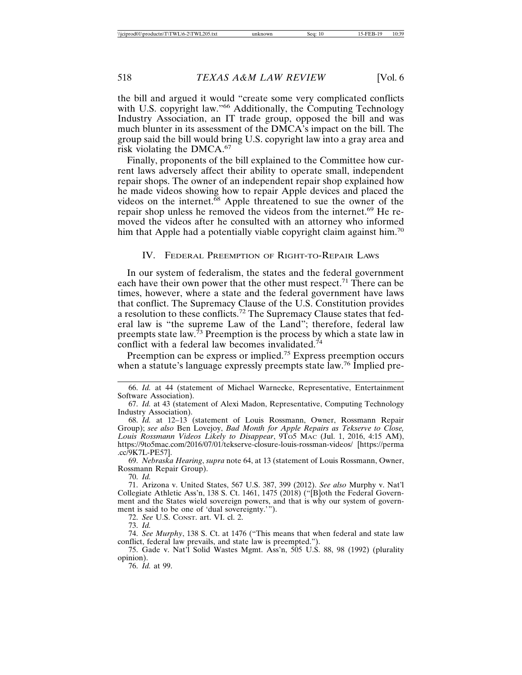the bill and argued it would "create some very complicated conflicts with U.S. copyright law."<sup>66</sup> Additionally, the Computing Technology Industry Association, an IT trade group, opposed the bill and was much blunter in its assessment of the DMCA's impact on the bill. The group said the bill would bring U.S. copyright law into a gray area and risk violating the DMCA.<sup>67</sup>

Finally, proponents of the bill explained to the Committee how current laws adversely affect their ability to operate small, independent repair shops. The owner of an independent repair shop explained how he made videos showing how to repair Apple devices and placed the videos on the internet.<sup>68</sup> Apple threatened to sue the owner of the repair shop unless he removed the videos from the internet.<sup>69</sup> He removed the videos after he consulted with an attorney who informed him that Apple had a potentially viable copyright claim against him.<sup>70</sup>

#### IV. FEDERAL PREEMPTION OF RIGHT-TO-REPAIR LAWS

In our system of federalism, the states and the federal government each have their own power that the other must respect.<sup>71</sup> There can be times, however, where a state and the federal government have laws that conflict. The Supremacy Clause of the U.S. Constitution provides a resolution to these conflicts.72 The Supremacy Clause states that federal law is "the supreme Law of the Land"; therefore, federal law preempts state law.<sup>73</sup> Preemption is the process by which a state law in conflict with a federal law becomes invalidated.<sup>74</sup>

Preemption can be express or implied.75 Express preemption occurs when a statute's language expressly preempts state law.<sup>76</sup> Implied pre-

69. *Nebraska Hearing*, *supra* note 64, at 13 (statement of Louis Rossmann, Owner, Rossmann Repair Group).

70. *Id.*

71. Arizona v. United States, 567 U.S. 387, 399 (2012). *See also* Murphy v. Nat'l Collegiate Athletic Ass'n, 138 S. Ct. 1461, 1475 (2018) ("[B]oth the Federal Government and the States wield sovereign powers, and that is why our system of government is said to be one of 'dual sovereignty.'").

72. *See* U.S. CONST. art. VI. cl. 2.

73. *Id.*

74. *See Murphy*, 138 S. Ct. at 1476 ("This means that when federal and state law conflict, federal law prevails, and state law is preempted.").

75. Gade v. Nat'l Solid Wastes Mgmt. Ass'n, 505 U.S. 88, 98 (1992) (plurality opinion).

76. *Id.* at 99.

<sup>66.</sup> *Id.* at 44 (statement of Michael Warnecke, Representative, Entertainment Software Association).

<sup>67.</sup> *Id.* at 43 (statement of Alexi Madon, Representative, Computing Technology Industry Association).

<sup>68.</sup> *Id.* at 12–13 (statement of Louis Rossmann, Owner, Rossmann Repair Group); *see also* Ben Lovejoy, *Bad Month for Apple Repairs as Tekserve to Close,* Louis Rossmann Videos Likely to Disappear, 9To5 MAC (Jul. 1, 2016, 4:15 AM), https://9to5mac.com/2016/07/01/tekserve-closure-louis-rossman-videos/ [https://perma .cc/9K7L-PE57].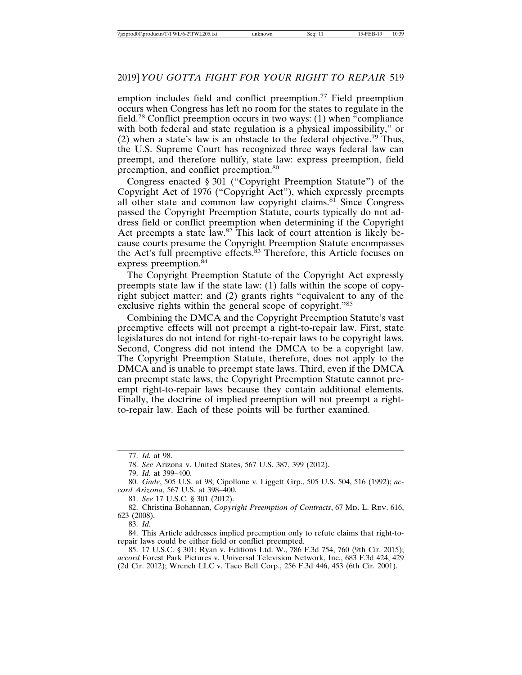emption includes field and conflict preemption.<sup>77</sup> Field preemption occurs when Congress has left no room for the states to regulate in the field.78 Conflict preemption occurs in two ways: (1) when "compliance with both federal and state regulation is a physical impossibility," or (2) when a state's law is an obstacle to the federal objective.79 Thus, the U.S. Supreme Court has recognized three ways federal law can preempt, and therefore nullify, state law: express preemption, field preemption, and conflict preemption.<sup>80</sup>

Congress enacted § 301 ("Copyright Preemption Statute") of the Copyright Act of 1976 ("Copyright Act"), which expressly preempts all other state and common law copyright claims.<sup>81</sup> Since Congress passed the Copyright Preemption Statute, courts typically do not address field or conflict preemption when determining if the Copyright Act preempts a state law.82 This lack of court attention is likely because courts presume the Copyright Preemption Statute encompasses the Act's full preemptive effects.83 Therefore, this Article focuses on express preemption. $84$ 

The Copyright Preemption Statute of the Copyright Act expressly preempts state law if the state law: (1) falls within the scope of copyright subject matter; and (2) grants rights "equivalent to any of the exclusive rights within the general scope of copyright."85

Combining the DMCA and the Copyright Preemption Statute's vast preemptive effects will not preempt a right-to-repair law. First, state legislatures do not intend for right-to-repair laws to be copyright laws. Second, Congress did not intend the DMCA to be a copyright law. The Copyright Preemption Statute, therefore, does not apply to the DMCA and is unable to preempt state laws. Third, even if the DMCA can preempt state laws, the Copyright Preemption Statute cannot preempt right-to-repair laws because they contain additional elements. Finally, the doctrine of implied preemption will not preempt a rightto-repair law. Each of these points will be further examined.

79. *Id.* at 399–400.

83. *Id.*

84. This Article addresses implied preemption only to refute claims that right-torepair laws could be either field or conflict preempted.

85. 17 U.S.C. § 301; Ryan v. Editions Ltd. W., 786 F.3d 754, 760 (9th Cir. 2015); *accord* Forest Park Pictures v. Universal Television Network, Inc., 683 F.3d 424, 429 (2d Cir. 2012); Wrench LLC v. Taco Bell Corp., 256 F.3d 446, 453 (6th Cir. 2001).

<sup>77.</sup> *Id.* at 98.

<sup>78.</sup> *See* Arizona v. United States, 567 U.S. 387, 399 (2012).

<sup>80.</sup> *Gade*, 505 U.S. at 98; Cipollone v. Liggett Grp., 505 U.S. 504, 516 (1992); *accord Arizona*, 567 U.S. at 398–400.

<sup>81.</sup> *See* 17 U.S.C. § 301 (2012).

<sup>82.</sup> Christina Bohannan, *Copyright Preemption of Contracts*, 67 MD. L. REV. 616, 623 (2008).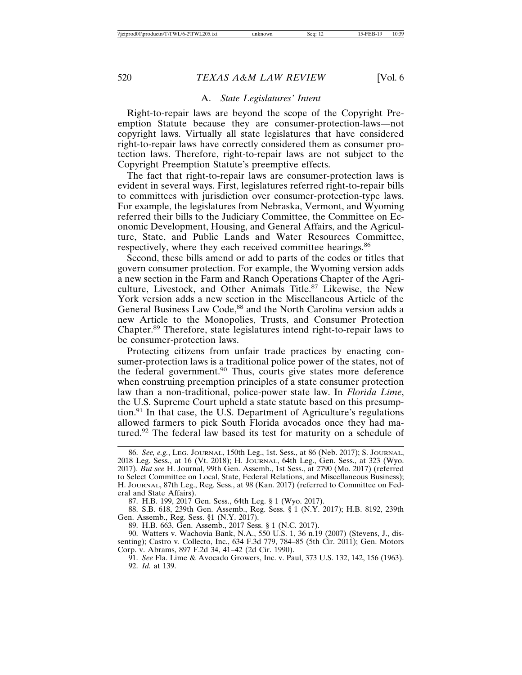#### A. *State Legislatures' Intent*

Right-to-repair laws are beyond the scope of the Copyright Preemption Statute because they are consumer-protection-laws—not copyright laws. Virtually all state legislatures that have considered right-to-repair laws have correctly considered them as consumer protection laws. Therefore, right-to-repair laws are not subject to the Copyright Preemption Statute's preemptive effects.

The fact that right-to-repair laws are consumer-protection laws is evident in several ways. First, legislatures referred right-to-repair bills to committees with jurisdiction over consumer-protection-type laws. For example, the legislatures from Nebraska, Vermont, and Wyoming referred their bills to the Judiciary Committee, the Committee on Economic Development, Housing, and General Affairs, and the Agriculture, State, and Public Lands and Water Resources Committee, respectively, where they each received committee hearings.<sup>86</sup>

Second, these bills amend or add to parts of the codes or titles that govern consumer protection. For example, the Wyoming version adds a new section in the Farm and Ranch Operations Chapter of the Agriculture, Livestock, and Other Animals Title.<sup>87</sup> Likewise, the New York version adds a new section in the Miscellaneous Article of the General Business Law Code,<sup>88</sup> and the North Carolina version adds a new Article to the Monopolies, Trusts, and Consumer Protection Chapter.89 Therefore, state legislatures intend right-to-repair laws to be consumer-protection laws.

Protecting citizens from unfair trade practices by enacting consumer-protection laws is a traditional police power of the states, not of the federal government.90 Thus, courts give states more deference when construing preemption principles of a state consumer protection law than a non-traditional, police-power state law. In *Florida Lime*, the U.S. Supreme Court upheld a state statute based on this presumption.91 In that case, the U.S. Department of Agriculture's regulations allowed farmers to pick South Florida avocados once they had matured.92 The federal law based its test for maturity on a schedule of

88. S.B. 618, 239th Gen. Assemb., Reg. Sess. § 1 (N.Y. 2017); H.B. 8192, 239th Gen. Assemb., Reg. Sess. §1 (N.Y. 2017).

89. H.B. 663, Gen. Assemb., 2017 Sess. § 1 (N.C. 2017).

90. Watters v. Wachovia Bank, N.A., 550 U.S. 1, 36 n.19 (2007) (Stevens, J., dissenting); Castro v. Collecto, Inc., 634 F.3d 779, 784–85 (5th Cir. 2011); Gen. Motors Corp. v. Abrams, 897 F.2d 34, 41–42 (2d Cir. 1990).

<sup>86.</sup> *See, e.g.*, LEG. JOURNAL, 150th Leg., 1st. Sess., at 86 (Neb. 2017); S. JOURNAL, 2018 Leg. Sess., at 16 (Vt. 2018); H. JOURNAL, 64th Leg., Gen. Sess., at 323 (Wyo. 2017). *But see* H. Journal, 99th Gen. Assemb., 1st Sess., at 2790 (Mo. 2017) (referred to Select Committee on Local, State, Federal Relations, and Miscellaneous Business); H. JOURNAL, 87th Leg., Reg. Sess., at 98 (Kan. 2017) (referred to Committee on Federal and State Affairs).

<sup>87.</sup> H.B. 199, 2017 Gen. Sess., 64th Leg. § 1 (Wyo. 2017).

<sup>91.</sup> *See* Fla. Lime & Avocado Growers, Inc. v. Paul, 373 U.S. 132, 142, 156 (1963). 92. *Id.* at 139.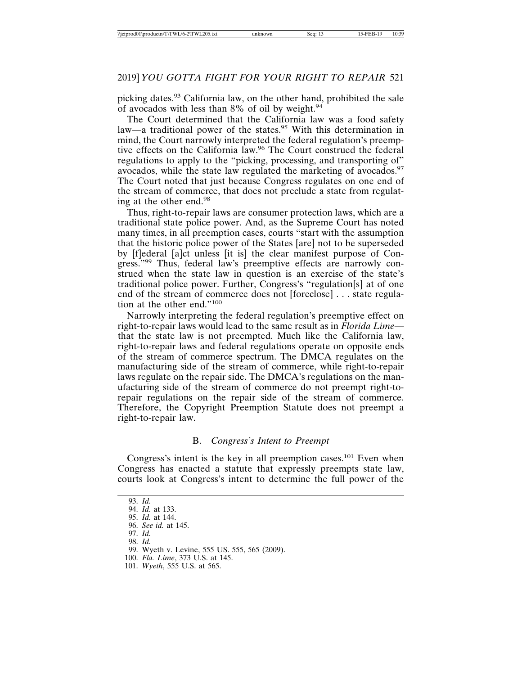picking dates.<sup>93</sup> California law, on the other hand, prohibited the sale of avocados with less than 8% of oil by weight.<sup>94</sup>

The Court determined that the California law was a food safety law—a traditional power of the states.<sup>95</sup> With this determination in mind, the Court narrowly interpreted the federal regulation's preemptive effects on the California law.96 The Court construed the federal regulations to apply to the "picking, processing, and transporting of" avocados, while the state law regulated the marketing of avocados.<sup>97</sup> The Court noted that just because Congress regulates on one end of the stream of commerce, that does not preclude a state from regulating at the other end.<sup>98</sup>

Thus, right-to-repair laws are consumer protection laws, which are a traditional state police power. And, as the Supreme Court has noted many times, in all preemption cases, courts "start with the assumption that the historic police power of the States [are] not to be superseded by [f]ederal [a]ct unless [it is] the clear manifest purpose of Congress."<sup>99</sup> Thus, federal law's preemptive effects are narrowly construed when the state law in question is an exercise of the state's traditional police power. Further, Congress's "regulation[s] at of one end of the stream of commerce does not [foreclose] . . . state regulation at the other end."<sup>100</sup>

Narrowly interpreting the federal regulation's preemptive effect on right-to-repair laws would lead to the same result as in *Florida Lime* that the state law is not preempted. Much like the California law, right-to-repair laws and federal regulations operate on opposite ends of the stream of commerce spectrum. The DMCA regulates on the manufacturing side of the stream of commerce, while right-to-repair laws regulate on the repair side. The DMCA's regulations on the manufacturing side of the stream of commerce do not preempt right-torepair regulations on the repair side of the stream of commerce. Therefore, the Copyright Preemption Statute does not preempt a right-to-repair law.

#### B. *Congress's Intent to Preempt*

Congress's intent is the key in all preemption cases.<sup>101</sup> Even when Congress has enacted a statute that expressly preempts state law, courts look at Congress's intent to determine the full power of the

<sup>93.</sup> *Id.*

<sup>94.</sup> *Id.* at 133.

<sup>95.</sup> *Id.* at 144.

<sup>96.</sup> *See id.* at 145.

<sup>97.</sup> *Id.*

<sup>98.</sup> *Id.*

<sup>99.</sup> Wyeth v. Levine, 555 US. 555, 565 (2009).

<sup>100.</sup> *Fla. Lime*, 373 U.S. at 145.

<sup>101.</sup> *Wyeth*, 555 U.S. at 565.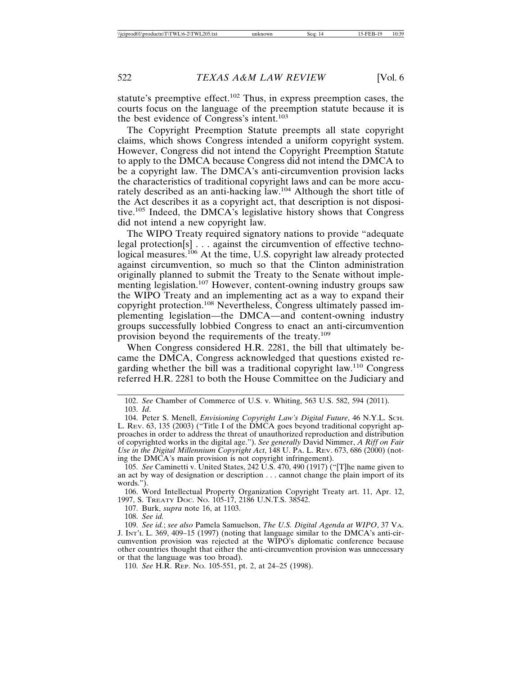statute's preemptive effect.102 Thus, in express preemption cases, the courts focus on the language of the preemption statute because it is the best evidence of Congress's intent.<sup>103</sup>

The Copyright Preemption Statute preempts all state copyright claims, which shows Congress intended a uniform copyright system. However, Congress did not intend the Copyright Preemption Statute to apply to the DMCA because Congress did not intend the DMCA to be a copyright law. The DMCA's anti-circumvention provision lacks the characteristics of traditional copyright laws and can be more accurately described as an anti-hacking law.104 Although the short title of the Act describes it as a copyright act, that description is not dispositive.105 Indeed, the DMCA's legislative history shows that Congress did not intend a new copyright law.

The WIPO Treaty required signatory nations to provide "adequate legal protection[s] . . . against the circumvention of effective technological measures.<sup>106</sup> At the time, U.S. copyright law already protected against circumvention, so much so that the Clinton administration originally planned to submit the Treaty to the Senate without implementing legislation.<sup>107</sup> However, content-owning industry groups saw the WIPO Treaty and an implementing act as a way to expand their copyright protection.108 Nevertheless, Congress ultimately passed implementing legislation—the DMCA—and content-owning industry groups successfully lobbied Congress to enact an anti-circumvention provision beyond the requirements of the treaty.109

When Congress considered H.R. 2281, the bill that ultimately became the DMCA, Congress acknowledged that questions existed regarding whether the bill was a traditional copyright law.110 Congress referred H.R. 2281 to both the House Committee on the Judiciary and

102. *See* Chamber of Commerce of U.S. v. Whiting, 563 U.S. 582, 594 (2011). 103. *Id*.

104. Peter S. Menell, *Envisioning Copyright Law's Digital Future*, 46 N.Y.L. SCH. L. REV. 63, 135 (2003) ("Title I of the DMCA goes beyond traditional copyright approaches in order to address the threat of unauthorized reproduction and distribution of copyrighted works in the digital age."). *See generally* David Nimmer, *A Riff on Fair Use in the Digital Millennium Copyright Act*, 148 U. PA. L. REV. 673, 686 (2000) (noting the DMCA's main provision is not copyright infringement).

105. *See* Caminetti v. United States, 242 U.S. 470, 490 (1917) ("[T]he name given to an act by way of designation or description . . . cannot change the plain import of its words.").

106. Word Intellectual Property Organization Copyright Treaty art. 11, Apr. 12, 1997, S. TREATY DOC. NO. 105-17, 2186 U.N.T.S. 38542.

107. Burk, *supra* note 16, at 1103.

108. *See id.*

109. *See id.*; *see also* Pamela Samuelson, *The U.S. Digital Agenda at WIPO*, 37 VA. J. INT'L L. 369, 409–15 (1997) (noting that language similar to the DMCA's anti-circumvention provision was rejected at the WIPO's diplomatic conference because other countries thought that either the anti-circumvention provision was unnecessary or that the language was too broad).

110. *See* H.R. REP. NO. 105-551, pt. 2, at 24–25 (1998).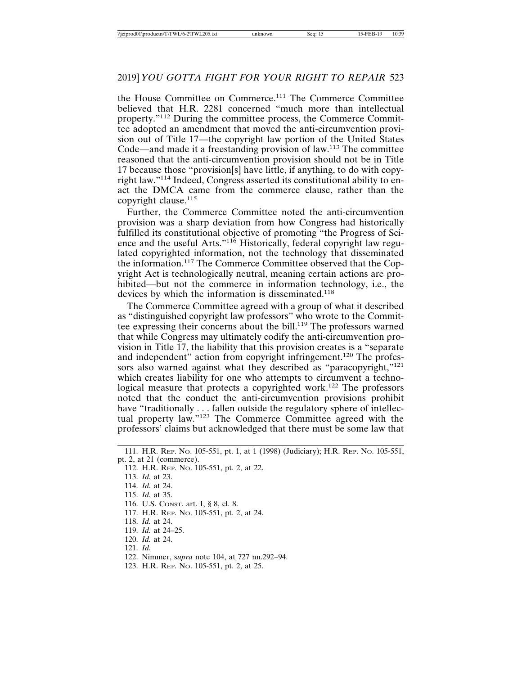the House Committee on Commerce.111 The Commerce Committee believed that H.R. 2281 concerned "much more than intellectual property."112 During the committee process, the Commerce Committee adopted an amendment that moved the anti-circumvention provision out of Title 17—the copyright law portion of the United States Code—and made it a freestanding provision of law.113 The committee reasoned that the anti-circumvention provision should not be in Title 17 because those "provision[s] have little, if anything, to do with copyright law."114 Indeed, Congress asserted its constitutional ability to enact the DMCA came from the commerce clause, rather than the copyright clause.<sup>115</sup>

Further, the Commerce Committee noted the anti-circumvention provision was a sharp deviation from how Congress had historically fulfilled its constitutional objective of promoting "the Progress of Science and the useful Arts."<sup>116</sup> Historically, federal copyright law regulated copyrighted information, not the technology that disseminated the information.117 The Commerce Committee observed that the Copyright Act is technologically neutral, meaning certain actions are prohibited—but not the commerce in information technology, i.e., the devices by which the information is disseminated.<sup>118</sup>

The Commerce Committee agreed with a group of what it described as "distinguished copyright law professors" who wrote to the Committee expressing their concerns about the bill.<sup>119</sup> The professors warned that while Congress may ultimately codify the anti-circumvention provision in Title 17, the liability that this provision creates is a "separate and independent" action from copyright infringement.<sup>120</sup> The professors also warned against what they described as "paracopyright,"<sup>121</sup> which creates liability for one who attempts to circumvent a technological measure that protects a copyrighted work.<sup>122</sup> The professors noted that the conduct the anti-circumvention provisions prohibit have "traditionally . . . fallen outside the regulatory sphere of intellectual property law."123 The Commerce Committee agreed with the professors' claims but acknowledged that there must be some law that

- 115. *Id.* at 35.
- 116. U.S. CONST. art. I, § 8, cl. 8.
- 117. H.R. REP. NO. 105-551, pt. 2, at 24.
- 118. *Id.* at 24.
- 119. *Id.* at 24–25.
- 120. *Id.* at 24.
- 121. *Id.*
- 122. Nimmer, s*upra* note 104, at 727 nn.292–94.
- 123. H.R. REP. NO. 105-551, pt. 2, at 25.

<sup>111.</sup> H.R. REP. NO. 105-551, pt. 1, at 1 (1998) (Judiciary); H.R. REP. NO. 105-551, pt. 2, at 21 (commerce).

<sup>112.</sup> H.R. REP. NO. 105-551, pt. 2, at 22.

<sup>113.</sup> *Id.* at 23.

<sup>114.</sup> *Id.* at 24.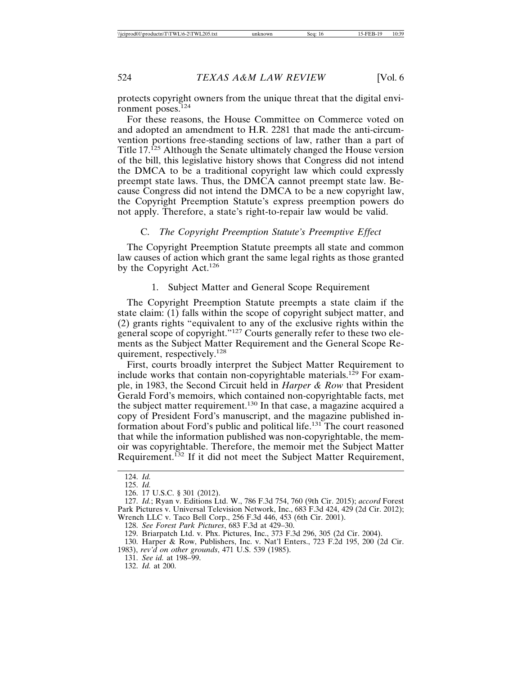protects copyright owners from the unique threat that the digital environment poses.<sup>124</sup>

For these reasons, the House Committee on Commerce voted on and adopted an amendment to H.R. 2281 that made the anti-circumvention portions free-standing sections of law, rather than a part of Title 17.125 Although the Senate ultimately changed the House version of the bill, this legislative history shows that Congress did not intend the DMCA to be a traditional copyright law which could expressly preempt state laws. Thus, the DMCA cannot preempt state law. Because Congress did not intend the DMCA to be a new copyright law, the Copyright Preemption Statute's express preemption powers do not apply. Therefore, a state's right-to-repair law would be valid.

#### C. *The Copyright Preemption Statute's Preemptive Effect*

The Copyright Preemption Statute preempts all state and common law causes of action which grant the same legal rights as those granted by the Copyright Act.<sup>126</sup>

1. Subject Matter and General Scope Requirement

The Copyright Preemption Statute preempts a state claim if the state claim: (1) falls within the scope of copyright subject matter, and (2) grants rights "equivalent to any of the exclusive rights within the general scope of copyright."127 Courts generally refer to these two elements as the Subject Matter Requirement and the General Scope Requirement, respectively.<sup>128</sup>

First, courts broadly interpret the Subject Matter Requirement to include works that contain non-copyrightable materials.<sup>129</sup> For example, in 1983, the Second Circuit held in *Harper & Row* that President Gerald Ford's memoirs, which contained non-copyrightable facts, met the subject matter requirement.<sup>130</sup> In that case, a magazine acquired a copy of President Ford's manuscript, and the magazine published information about Ford's public and political life.<sup>131</sup> The court reasoned that while the information published was non-copyrightable, the memoir was copyrightable. Therefore, the memoir met the Subject Matter Requirement.132 If it did not meet the Subject Matter Requirement,

131. *See id.* at 198–99.

132. *Id.* at 200.

<sup>124.</sup> *Id.*

<sup>125.</sup> *Id.*

<sup>126. 17</sup> U.S.C. § 301 (2012).

<sup>127.</sup> *Id.*; Ryan v. Editions Ltd. W., 786 F.3d 754, 760 (9th Cir. 2015); *accord* Forest Park Pictures v. Universal Television Network, Inc., 683 F.3d 424, 429 (2d Cir. 2012); Wrench LLC v. Taco Bell Corp., 256 F.3d 446, 453 (6th Cir. 2001).

<sup>128.</sup> *See Forest Park Pictures*, 683 F.3d at 429–30.

<sup>129.</sup> Briarpatch Ltd. v. Phx. Pictures, Inc., 373 F.3d 296, 305 (2d Cir. 2004).

<sup>130.</sup> Harper & Row, Publishers, Inc. v. Nat'l Enters., 723 F.2d 195, 200 (2d Cir. 1983), *rev'd on other grounds*, 471 U.S. 539 (1985).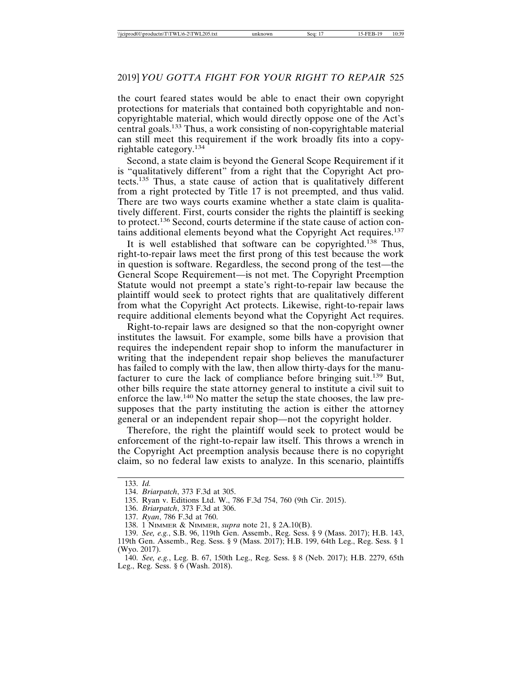the court feared states would be able to enact their own copyright protections for materials that contained both copyrightable and noncopyrightable material, which would directly oppose one of the Act's central goals.133 Thus, a work consisting of non-copyrightable material can still meet this requirement if the work broadly fits into a copyrightable category.134

Second, a state claim is beyond the General Scope Requirement if it is "qualitatively different" from a right that the Copyright Act protects.135 Thus, a state cause of action that is qualitatively different from a right protected by Title 17 is not preempted, and thus valid. There are two ways courts examine whether a state claim is qualitatively different. First, courts consider the rights the plaintiff is seeking to protect.136 Second, courts determine if the state cause of action contains additional elements beyond what the Copyright Act requires.137

It is well established that software can be copyrighted.138 Thus, right-to-repair laws meet the first prong of this test because the work in question is software. Regardless, the second prong of the test—the General Scope Requirement—is not met. The Copyright Preemption Statute would not preempt a state's right-to-repair law because the plaintiff would seek to protect rights that are qualitatively different from what the Copyright Act protects. Likewise, right-to-repair laws require additional elements beyond what the Copyright Act requires.

Right-to-repair laws are designed so that the non-copyright owner institutes the lawsuit. For example, some bills have a provision that requires the independent repair shop to inform the manufacturer in writing that the independent repair shop believes the manufacturer has failed to comply with the law, then allow thirty-days for the manufacturer to cure the lack of compliance before bringing suit.139 But, other bills require the state attorney general to institute a civil suit to enforce the law.140 No matter the setup the state chooses, the law presupposes that the party instituting the action is either the attorney general or an independent repair shop—not the copyright holder.

Therefore, the right the plaintiff would seek to protect would be enforcement of the right-to-repair law itself. This throws a wrench in the Copyright Act preemption analysis because there is no copyright claim, so no federal law exists to analyze. In this scenario, plaintiffs

<sup>133.</sup> *Id.*

<sup>134.</sup> *Briarpatch*, 373 F.3d at 305.

<sup>135.</sup> Ryan v. Editions Ltd. W., 786 F.3d 754, 760 (9th Cir. 2015).

<sup>136.</sup> *Briarpatch*, 373 F.3d at 306.

<sup>137.</sup> *Ryan*, 786 F.3d at 760.

<sup>138. 1</sup> NIMMER & NIMMER, *supra* note 21, § 2A.10(B).

<sup>139.</sup> *See, e.g.*, S.B. 96, 119th Gen. Assemb., Reg. Sess. § 9 (Mass. 2017); H.B. 143, 119th Gen. Assemb., Reg. Sess. § 9 (Mass. 2017); H.B. 199, 64th Leg., Reg. Sess. § 1 (Wyo. 2017).

<sup>140.</sup> *See, e.g.*, Leg. B. 67, 150th Leg., Reg. Sess. § 8 (Neb. 2017); H.B. 2279, 65th Leg., Reg. Sess. § 6 (Wash. 2018).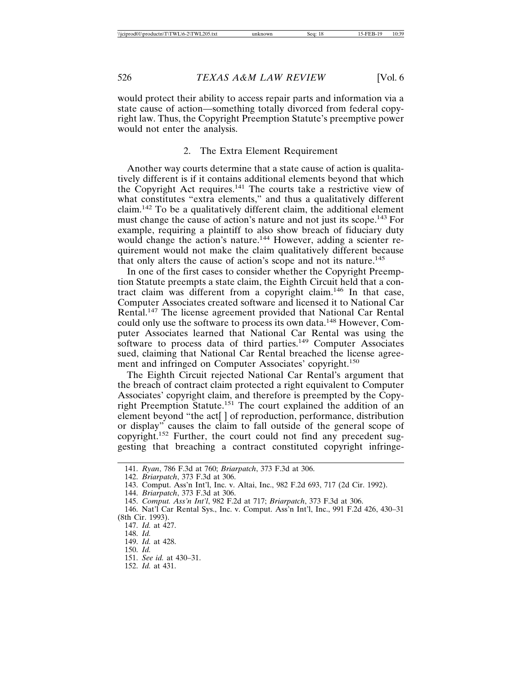would protect their ability to access repair parts and information via a state cause of action—something totally divorced from federal copyright law. Thus, the Copyright Preemption Statute's preemptive power would not enter the analysis.

#### 2. The Extra Element Requirement

Another way courts determine that a state cause of action is qualitatively different is if it contains additional elements beyond that which the Copyright Act requires.141 The courts take a restrictive view of what constitutes "extra elements," and thus a qualitatively different claim.142 To be a qualitatively different claim, the additional element must change the cause of action's nature and not just its scope.143 For example, requiring a plaintiff to also show breach of fiduciary duty would change the action's nature.<sup>144</sup> However, adding a scienter requirement would not make the claim qualitatively different because that only alters the cause of action's scope and not its nature.<sup>145</sup>

In one of the first cases to consider whether the Copyright Preemption Statute preempts a state claim, the Eighth Circuit held that a contract claim was different from a copyright claim.146 In that case, Computer Associates created software and licensed it to National Car Rental.147 The license agreement provided that National Car Rental could only use the software to process its own data.148 However, Computer Associates learned that National Car Rental was using the software to process data of third parties.<sup>149</sup> Computer Associates sued, claiming that National Car Rental breached the license agreement and infringed on Computer Associates' copyright.<sup>150</sup>

The Eighth Circuit rejected National Car Rental's argument that the breach of contract claim protected a right equivalent to Computer Associates' copyright claim, and therefore is preempted by the Copyright Preemption Statute.<sup>151</sup> The court explained the addition of an element beyond "the act[ ] of reproduction, performance, distribution or display" causes the claim to fall outside of the general scope of copyright.152 Further, the court could not find any precedent suggesting that breaching a contract constituted copyright infringe-

142. *Briarpatch*, 373 F.3d at 306.

- 
- 151. *See id.* at 430–31.
- 152. *Id.* at 431.

<sup>141.</sup> *Ryan*, 786 F.3d at 760; *Briarpatch*, 373 F.3d at 306.

<sup>143.</sup> Comput. Ass'n Int'l, Inc. v. Altai, Inc., 982 F.2d 693, 717 (2d Cir. 1992).

<sup>144.</sup> *Briarpatch*, 373 F.3d at 306.

<sup>145.</sup> *Comput. Ass'n Int'l*, 982 F.2d at 717; *Briarpatch*, 373 F.3d at 306.

<sup>146.</sup> Nat'l Car Rental Sys., Inc. v. Comput. Ass'n Int'l, Inc., 991 F.2d 426, 430–31 (8th Cir. 1993).

<sup>147.</sup> *Id.* at 427.

<sup>148.</sup> *Id.*

<sup>149.</sup> *Id.* at 428. 150. *Id.*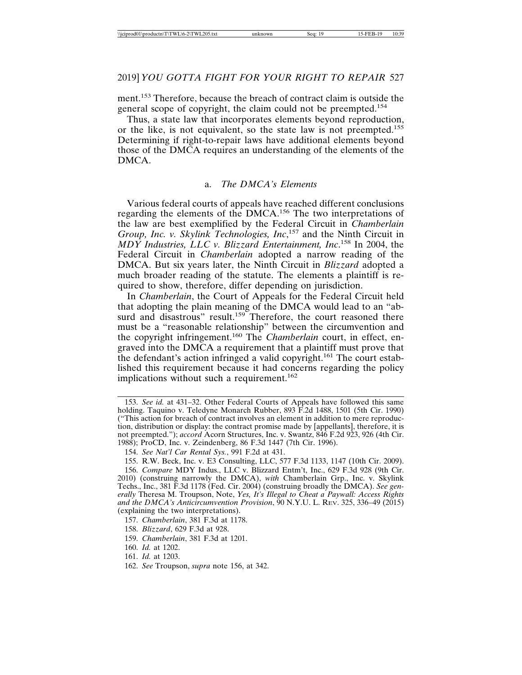ment.153 Therefore, because the breach of contract claim is outside the general scope of copyright, the claim could not be preempted.154

Thus, a state law that incorporates elements beyond reproduction, or the like, is not equivalent, so the state law is not preempted.155 Determining if right-to-repair laws have additional elements beyond those of the DMCA requires an understanding of the elements of the DMCA.

#### a. *The DMCA's Elements*

Various federal courts of appeals have reached different conclusions regarding the elements of the DMCA.156 The two interpretations of the law are best exemplified by the Federal Circuit in *Chamberlain Group, Inc. v. Skylink Technologies, Inc*, 157 and the Ninth Circuit in *MDY Industries, LLC v. Blizzard Entertainment, Inc*. 158 In 2004, the Federal Circuit in *Chamberlain* adopted a narrow reading of the DMCA. But six years later, the Ninth Circuit in *Blizzard* adopted a much broader reading of the statute. The elements a plaintiff is required to show, therefore, differ depending on jurisdiction.

In *Chamberlain*, the Court of Appeals for the Federal Circuit held that adopting the plain meaning of the DMCA would lead to an "absurd and disastrous" result.<sup>159</sup> Therefore, the court reasoned there must be a "reasonable relationship" between the circumvention and the copyright infringement.160 The *Chamberlain* court, in effect, engraved into the DMCA a requirement that a plaintiff must prove that the defendant's action infringed a valid copyright.<sup>161</sup> The court established this requirement because it had concerns regarding the policy implications without such a requirement.<sup>162</sup>

155. R.W. Beck, Inc. v. E3 Consulting, LLC, 577 F.3d 1133, 1147 (10th Cir. 2009).

- 158. *Blizzard*, 629 F.3d at 928.
- 159. *Chamberlain*, 381 F.3d at 1201.
- 160. *Id.* at 1202.
- 161. *Id.* at 1203.
- 162. *See* Troupson, *supra* note 156, at 342.

<sup>153.</sup> *See id.* at 431–32. Other Federal Courts of Appeals have followed this same holding. Taquino v. Teledyne Monarch Rubber, 893 F.2d 1488, 1501 (5th Cir. 1990) ("This action for breach of contract involves an element in addition to mere reproduction, distribution or display: the contract promise made by [appellants], therefore, it is not preempted."); *accord* Acorn Structures, Inc. v. Swantz, 846 F.2d 923, 926 (4th Cir. 1988); ProCD, Inc. v. Zeindenberg, 86 F.3d 1447 (7th Cir. 1996).

<sup>154.</sup> *See Nat'l Car Rental Sys.*, 991 F.2d at 431.

<sup>156.</sup> *Compare* MDY Indus., LLC v. Blizzard Entm't, Inc., 629 F.3d 928 (9th Cir. 2010) (construing narrowly the DMCA), *with* Chamberlain Grp., Inc. v. Skylink Techs., Inc., 381 F.3d 1178 (Fed. Cir. 2004) (construing broadly the DMCA). *See generally* Theresa M. Troupson, Note, *Yes, It's Illegal to Cheat a Paywall: Access Rights and the DMCA's Anticircumvention Provision*, 90 N.Y.U. L. REV. 325, 336–49 (2015) (explaining the two interpretations).

<sup>157.</sup> *Chamberlain*, 381 F.3d at 1178.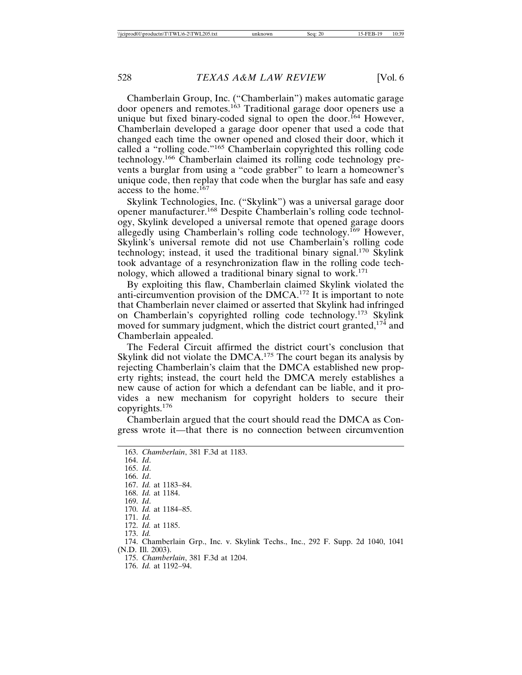Chamberlain Group, Inc. ("Chamberlain") makes automatic garage door openers and remotes.<sup>163</sup> Traditional garage door openers use a unique but fixed binary-coded signal to open the door.<sup>164</sup> However, Chamberlain developed a garage door opener that used a code that changed each time the owner opened and closed their door, which it called a "rolling code."165 Chamberlain copyrighted this rolling code technology.166 Chamberlain claimed its rolling code technology prevents a burglar from using a "code grabber" to learn a homeowner's unique code, then replay that code when the burglar has safe and easy access to the home.167

Skylink Technologies, Inc. ("Skylink") was a universal garage door opener manufacturer.168 Despite Chamberlain's rolling code technology, Skylink developed a universal remote that opened garage doors allegedly using Chamberlain's rolling code technology.<sup>169</sup> However, Skylink's universal remote did not use Chamberlain's rolling code technology; instead, it used the traditional binary signal.<sup>170</sup> Skylink took advantage of a resynchronization flaw in the rolling code technology, which allowed a traditional binary signal to work.<sup>171</sup>

By exploiting this flaw, Chamberlain claimed Skylink violated the anti-circumvention provision of the DMCA.172 It is important to note that Chamberlain never claimed or asserted that Skylink had infringed on Chamberlain's copyrighted rolling code technology.173 Skylink moved for summary judgment, which the district court granted,<sup>174</sup> and Chamberlain appealed.

The Federal Circuit affirmed the district court's conclusion that Skylink did not violate the  $DMCA$ <sup>175</sup> The court began its analysis by rejecting Chamberlain's claim that the DMCA established new property rights; instead, the court held the DMCA merely establishes a new cause of action for which a defendant can be liable, and it provides a new mechanism for copyright holders to secure their copyrights.<sup>176</sup>

Chamberlain argued that the court should read the DMCA as Congress wrote it—that there is no connection between circumvention

163. *Chamberlain*, 381 F.3d at 1183. 164. *Id*. 165. *Id*. 166. *Id*. 167. *Id.* at 1183–84. 168. *Id.* at 1184. 169. *Id*. 170. *Id.* at 1184–85. 171. *Id.* 172. *Id.* at 1185. 173. *Id.* 174. Chamberlain Grp., Inc. v. Skylink Techs., Inc., 292 F. Supp. 2d 1040, 1041 (N.D. Ill. 2003). 175. *Chamberlain*, 381 F.3d at 1204. 176. *Id.* at 1192–94.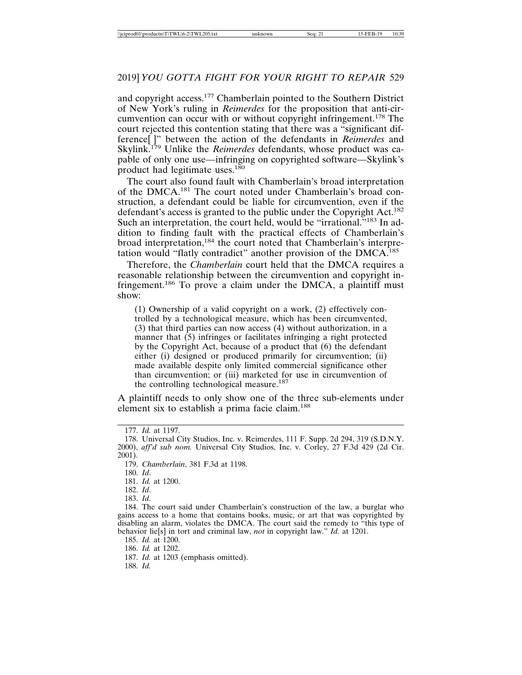and copyright access.177 Chamberlain pointed to the Southern District of New York's ruling in *Reimerdes* for the proposition that anti-circumvention can occur with or without copyright infringement.178 The court rejected this contention stating that there was a "significant difference[ ]" between the action of the defendants in *Reimerdes* and Skylink.179 Unlike the *Reimerdes* defendants, whose product was capable of only one use—infringing on copyrighted software—Skylink's product had legitimate uses.<sup>180</sup>

The court also found fault with Chamberlain's broad interpretation of the DMCA.181 The court noted under Chamberlain's broad construction, a defendant could be liable for circumvention, even if the defendant's access is granted to the public under the Copyright Act.<sup>182</sup> Such an interpretation, the court held, would be "irrational."<sup>183</sup> In addition to finding fault with the practical effects of Chamberlain's broad interpretation,<sup>184</sup> the court noted that Chamberlain's interpretation would "flatly contradict" another provision of the DMCA.<sup>185</sup>

Therefore, the *Chamberlain* court held that the DMCA requires a reasonable relationship between the circumvention and copyright infringement.186 To prove a claim under the DMCA, a plaintiff must show:

(1) Ownership of a valid copyright on a work, (2) effectively controlled by a technological measure, which has been circumvented, (3) that third parties can now access (4) without authorization, in a manner that  $(5)$  infringes or facilitates infringing a right protected by the Copyright Act, because of a product that (6) the defendant either (i) designed or produced primarily for circumvention; (ii) made available despite only limited commercial significance other than circumvention; or (iii) marketed for use in circumvention of the controlling technological measure.<sup>187</sup>

A plaintiff needs to only show one of the three sub-elements under element six to establish a prima facie claim.<sup>188</sup>

183. *Id*.

188. *Id.*

<sup>177.</sup> *Id.* at 1197.

<sup>178.</sup> Universal City Studios, Inc. v. Reimerdes, 111 F. Supp. 2d 294, 319 (S.D.N.Y. 2000), *aff'd sub nom.* Universal City Studios, Inc. v. Corley, 27 F.3d 429 (2d Cir. 2001).

<sup>179.</sup> *Chamberlain*, 381 F.3d at 1198.

<sup>180.</sup> *Id*.

<sup>181.</sup> *Id.* at 1200.

<sup>182.</sup> *Id*.

<sup>184.</sup> The court said under Chamberlain's construction of the law, a burglar who gains access to a home that contains books, music, or art that was copyrighted by disabling an alarm, violates the DMCA. The court said the remedy to "this type of behavior lie[s] in tort and criminal law, *not* in copyright law." *Id.* at 1201.

<sup>185.</sup> *Id.* at 1200.

<sup>186.</sup> *Id.* at 1202.

<sup>187.</sup> *Id.* at 1203 (emphasis omitted).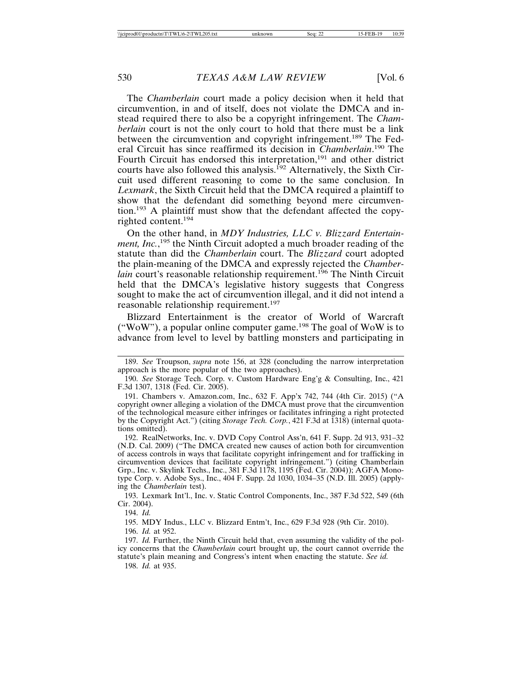The *Chamberlain* court made a policy decision when it held that circumvention, in and of itself, does not violate the DMCA and instead required there to also be a copyright infringement. The *Chamberlain* court is not the only court to hold that there must be a link between the circumvention and copyright infringement.<sup>189</sup> The Federal Circuit has since reaffirmed its decision in *Chamberlain*. 190 The Fourth Circuit has endorsed this interpretation,<sup>191</sup> and other district courts have also followed this analysis.<sup>192</sup> Alternatively, the Sixth Circuit used different reasoning to come to the same conclusion. In *Lexmark*, the Sixth Circuit held that the DMCA required a plaintiff to show that the defendant did something beyond mere circumvention.193 A plaintiff must show that the defendant affected the copyrighted content.194

On the other hand, in *MDY Industries, LLC v. Blizzard Entertainment, Inc.*, 195 the Ninth Circuit adopted a much broader reading of the statute than did the *Chamberlain* court. The *Blizzard* court adopted the plain-meaning of the DMCA and expressly rejected the *Chamberlain* court's reasonable relationship requirement.<sup>196</sup> The Ninth Circuit held that the DMCA's legislative history suggests that Congress sought to make the act of circumvention illegal, and it did not intend a reasonable relationship requirement.<sup>197</sup>

Blizzard Entertainment is the creator of World of Warcraft ("WoW"), a popular online computer game.<sup>198</sup> The goal of WoW is to advance from level to level by battling monsters and participating in

193. Lexmark Int'l., Inc. v. Static Control Components, Inc., 387 F.3d 522, 549 (6th Cir. 2004).

194. *Id.*

195. MDY Indus., LLC v. Blizzard Entm't, Inc., 629 F.3d 928 (9th Cir. 2010).

196. *Id.* at 952.

198. *Id.* at 935.

<sup>189.</sup> *See* Troupson, *supra* note 156, at 328 (concluding the narrow interpretation approach is the more popular of the two approaches).

<sup>190.</sup> *See* Storage Tech. Corp. v. Custom Hardware Eng'g & Consulting, Inc., 421 F.3d 1307, 1318 (Fed. Cir. 2005).

<sup>191.</sup> Chambers v. Amazon.com, Inc., 632 F. App'x 742, 744 (4th Cir. 2015) ("A copyright owner alleging a violation of the DMCA must prove that the circumvention of the technological measure either infringes or facilitates infringing a right protected by the Copyright Act.") (citing *Storage Tech. Corp.*, 421 F.3d at 1318) (internal quotations omitted).

<sup>192.</sup> RealNetworks, Inc. v. DVD Copy Control Ass'n, 641 F. Supp. 2d 913, 931–32 (N.D. Cal. 2009) ("The DMCA created new causes of action both for circumvention of access controls in ways that facilitate copyright infringement and for trafficking in circumvention devices that facilitate copyright infringement.") (citing Chamberlain Grp., Inc. v. Skylink Techs., Inc., 381 F.3d 1178, 1195 (Fed. Cir. 2004)); AGFA Monotype Corp. v. Adobe Sys., Inc., 404 F. Supp. 2d 1030, 1034–35 (N.D. Ill. 2005) (applying the *Chamberlain* test).

<sup>197.</sup> *Id.* Further, the Ninth Circuit held that, even assuming the validity of the policy concerns that the *Chamberlain* court brought up, the court cannot override the statute's plain meaning and Congress's intent when enacting the statute. *See id.*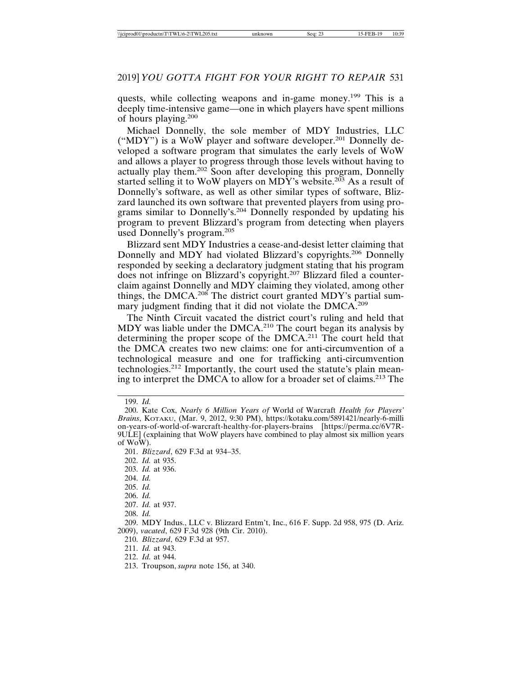quests, while collecting weapons and in-game money.<sup>199</sup> This is a deeply time-intensive game—one in which players have spent millions of hours playing.<sup>200</sup>

Michael Donnelly, the sole member of MDY Industries, LLC ("MDY") is a WoW player and software developer.201 Donnelly developed a software program that simulates the early levels of WoW and allows a player to progress through those levels without having to actually play them.202 Soon after developing this program, Donnelly started selling it to WoW players on MDY's website.<sup>203</sup> As a result of Donnelly's software, as well as other similar types of software, Blizzard launched its own software that prevented players from using programs similar to Donnelly's.204 Donnelly responded by updating his program to prevent Blizzard's program from detecting when players used Donnelly's program.<sup>205</sup>

Blizzard sent MDY Industries a cease-and-desist letter claiming that Donnelly and MDY had violated Blizzard's copyrights.206 Donnelly responded by seeking a declaratory judgment stating that his program does not infringe on Blizzard's copyright.207 Blizzard filed a counterclaim against Donnelly and MDY claiming they violated, among other things, the DMCA.<sup>208</sup> The district court granted MDY's partial summary judgment finding that it did not violate the DMCA.<sup>209</sup>

The Ninth Circuit vacated the district court's ruling and held that MDY was liable under the DMCA.210 The court began its analysis by determining the proper scope of the DMCA.211 The court held that the DMCA creates two new claims: one for anti-circumvention of a technological measure and one for trafficking anti-circumvention technologies.212 Importantly, the court used the statute's plain meaning to interpret the DMCA to allow for a broader set of claims.213 The

199. *Id.*

210. *Blizzard*, 629 F.3d at 957.

<sup>200.</sup> Kate Cox, *Nearly 6 Million Years of* World of Warcraft *Health for Players' Brains*, KOTAKU, (Mar. 9, 2012, 9:30 PM), https://kotaku.com/5891421/nearly-6-milli on-years-of-world-of-warcraft-healthy-for-players-brains [https://perma.cc/6V7R-9ULE] (explaining that WoW players have combined to play almost six million years of WoW).

<sup>201.</sup> *Blizzard*, 629 F.3d at 934–35.

<sup>202.</sup> *Id.* at 935.

<sup>203.</sup> *Id.* at 936.

<sup>204.</sup> *Id.*

<sup>205.</sup> *Id.*

<sup>206.</sup> *Id.*

<sup>207.</sup> *Id.* at 937.

<sup>208.</sup> *Id.*

<sup>209.</sup> MDY Indus., LLC v. Blizzard Entm't, Inc., 616 F. Supp. 2d 958, 975 (D. Ariz. 2009), *vacated*, 629 F.3d 928 (9th Cir. 2010).

<sup>211.</sup> *Id.* at 943.

<sup>212.</sup> *Id.* at 944.

<sup>213.</sup> Troupson, *supra* note 156, at 340.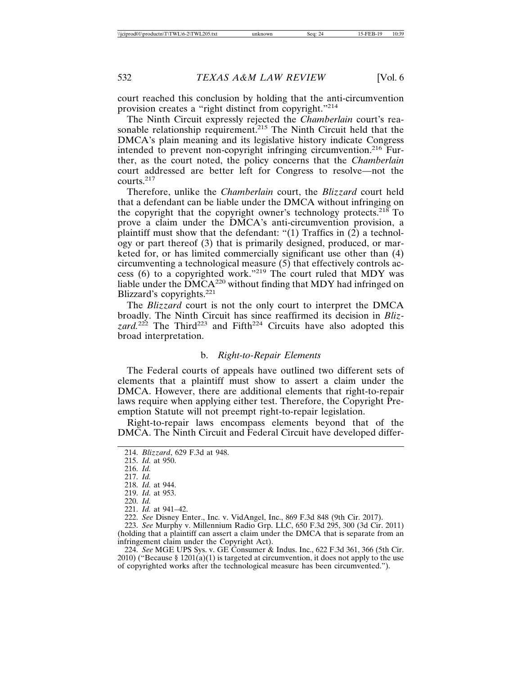court reached this conclusion by holding that the anti-circumvention provision creates a "right distinct from copyright."<sup>214</sup>

The Ninth Circuit expressly rejected the *Chamberlain* court's reasonable relationship requirement.<sup>215</sup> The Ninth Circuit held that the DMCA's plain meaning and its legislative history indicate Congress intended to prevent non-copyright infringing circumvention.<sup>216</sup> Further, as the court noted, the policy concerns that the *Chamberlain* court addressed are better left for Congress to resolve—not the courts.<sup>217</sup>

Therefore, unlike the *Chamberlain* court, the *Blizzard* court held that a defendant can be liable under the DMCA without infringing on the copyright that the copyright owner's technology protects.<sup>218</sup> To prove a claim under the DMCA's anti-circumvention provision, a plaintiff must show that the defendant: "(1) Traffics in  $(2)$  a technology or part thereof (3) that is primarily designed, produced, or marketed for, or has limited commercially significant use other than (4) circumventing a technological measure (5) that effectively controls access (6) to a copyrighted work."<sup>219</sup> The court ruled that MDY was liable under the  $\rm \dot{DM}CA^{220}$  without finding that MDY had infringed on Blizzard's copyrights.<sup>221</sup>

The *Blizzard* court is not the only court to interpret the DMCA broadly. The Ninth Circuit has since reaffirmed its decision in *Bliz*zard.<sup>222</sup> The Third<sup>223</sup> and Fifth<sup>224</sup> Circuits have also adopted this broad interpretation.

#### b. *Right-to-Repair Elements*

The Federal courts of appeals have outlined two different sets of elements that a plaintiff must show to assert a claim under the DMCA. However, there are additional elements that right-to-repair laws require when applying either test. Therefore, the Copyright Preemption Statute will not preempt right-to-repair legislation.

Right-to-repair laws encompass elements beyond that of the DMCA. The Ninth Circuit and Federal Circuit have developed differ-

224. *See* MGE UPS Sys. v. GE Consumer & Indus. Inc., 622 F.3d 361, 366 (5th Cir. 2010) ("Because § 1201(a)(1) is targeted at circumvention, it does not apply to the use of copyrighted works after the technological measure has been circumvented.").

<sup>214.</sup> *Blizzard*, 629 F.3d at 948.

<sup>215.</sup> *Id.* at 950.

<sup>216.</sup> *Id.*

<sup>217.</sup> *Id.*

<sup>218.</sup> *Id.* at 944.

<sup>219.</sup> *Id.* at 953.

<sup>220.</sup> *Id.*

<sup>221.</sup> *Id.* at 941–42.

<sup>222.</sup> *See* Disney Enter., Inc. v. VidAngel, Inc., 869 F.3d 848 (9th Cir. 2017).

<sup>223.</sup> *See* Murphy v. Millennium Radio Grp. LLC, 650 F.3d 295, 300 (3d Cir. 2011) (holding that a plaintiff can assert a claim under the DMCA that is separate from an infringement claim under the Copyright Act).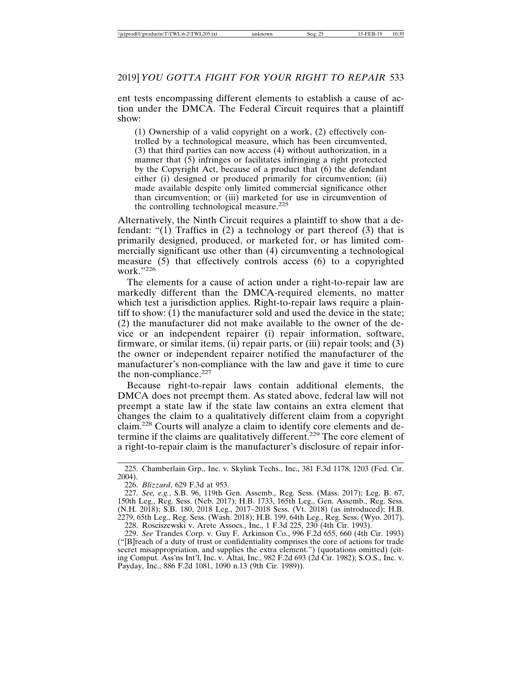ent tests encompassing different elements to establish a cause of action under the DMCA. The Federal Circuit requires that a plaintiff show:

(1) Ownership of a valid copyright on a work, (2) effectively controlled by a technological measure, which has been circumvented, (3) that third parties can now access (4) without authorization, in a manner that  $(5)$  infringes or facilitates infringing a right protected by the Copyright Act, because of a product that (6) the defendant either (i) designed or produced primarily for circumvention; (ii) made available despite only limited commercial significance other than circumvention; or (iii) marketed for use in circumvention of the controlling technological measure.<sup>225</sup>

Alternatively, the Ninth Circuit requires a plaintiff to show that a defendant: "(1) Traffics in (2) a technology or part thereof (3) that is primarily designed, produced, or marketed for, or has limited commercially significant use other than (4) circumventing a technological measure  $(5)$  that effectively controls access  $(6)$  to a copyrighted work."226

The elements for a cause of action under a right-to-repair law are markedly different than the DMCA-required elements, no matter which test a jurisdiction applies. Right-to-repair laws require a plaintiff to show: (1) the manufacturer sold and used the device in the state; (2) the manufacturer did not make available to the owner of the device or an independent repairer (i) repair information, software, firmware, or similar items, (ii) repair parts, or (iii) repair tools; and (3) the owner or independent repairer notified the manufacturer of the manufacturer's non-compliance with the law and gave it time to cure the non-compliance.<sup>227</sup>

Because right-to-repair laws contain additional elements, the DMCA does not preempt them. As stated above, federal law will not preempt a state law if the state law contains an extra element that changes the claim to a qualitatively different claim from a copyright claim.228 Courts will analyze a claim to identify core elements and determine if the claims are qualitatively different.<sup>229</sup> The core element of a right-to-repair claim is the manufacturer's disclosure of repair infor-

<sup>225.</sup> Chamberlain Grp., Inc. v. Skylink Techs., Inc., 381 F.3d 1178, 1203 (Fed. Cir. 2004).

<sup>226.</sup> *Blizzard*, 629 F.3d at 953.

<sup>227.</sup> *See, e.g.*, S.B. 96, 119th Gen. Assemb., Reg. Sess. (Mass. 2017); Leg. B. 67, 150th Leg., Reg. Sess. (Neb. 2017); H.B. 1733, 165th Leg., Gen. Assemb., Reg. Sess. (N.H. 2018); S.B. 180, 2018 Leg., 2017–2018 Sess. (Vt. 2018) (as introduced); H.B. 2279, 65th Leg., Reg. Sess. (Wash. 2018); H.B. 199, 64th Leg., Reg. Sess. (Wyo. 2017). 228. Rosciszewski v. Arete Assocs., Inc., 1 F.3d 225, 230 (4th Cir. 1993).

<sup>229.</sup> *See* Trandes Corp. v. Guy F. Arkinson Co., 996 F.2d 655, 660 (4th Cir. 1993) ("[B]reach of a duty of trust or confidentiality comprises the core of actions for trade secret misappropriation, and supplies the extra element.") (quotations omitted) (citing Comput. Ass'ns Int'l, Inc. v. Altai, Inc., 982 F.2d 693 (2d Cir. 1982); S.O.S., Inc. v. Payday, Inc., 886 F.2d 1081, 1090 n.13 (9th Cir. 1989)).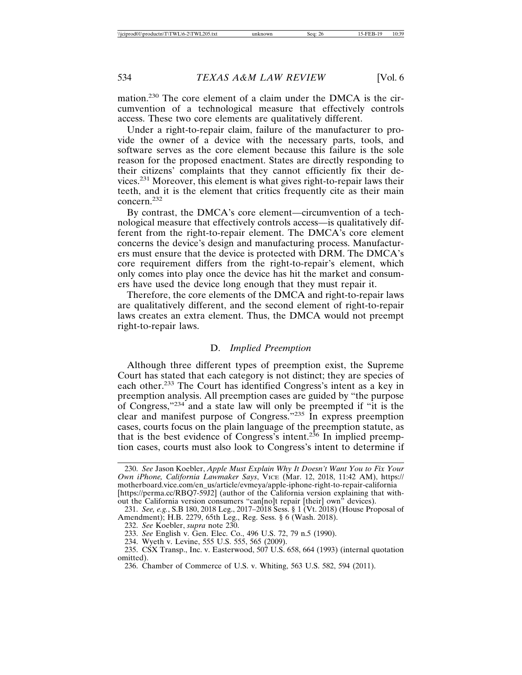mation.230 The core element of a claim under the DMCA is the circumvention of a technological measure that effectively controls access. These two core elements are qualitatively different.

Under a right-to-repair claim, failure of the manufacturer to provide the owner of a device with the necessary parts, tools, and software serves as the core element because this failure is the sole reason for the proposed enactment. States are directly responding to their citizens' complaints that they cannot efficiently fix their devices.231 Moreover, this element is what gives right-to-repair laws their teeth, and it is the element that critics frequently cite as their main concern.232

By contrast, the DMCA's core element—circumvention of a technological measure that effectively controls access—is qualitatively different from the right-to-repair element. The DMCA's core element concerns the device's design and manufacturing process. Manufacturers must ensure that the device is protected with DRM. The DMCA's core requirement differs from the right-to-repair's element, which only comes into play once the device has hit the market and consumers have used the device long enough that they must repair it.

Therefore, the core elements of the DMCA and right-to-repair laws are qualitatively different, and the second element of right-to-repair laws creates an extra element. Thus, the DMCA would not preempt right-to-repair laws.

#### D. *Implied Preemption*

Although three different types of preemption exist, the Supreme Court has stated that each category is not distinct; they are species of each other.233 The Court has identified Congress's intent as a key in preemption analysis. All preemption cases are guided by "the purpose of Congress,"234 and a state law will only be preempted if "it is the clear and manifest purpose of Congress."235 In express preemption cases, courts focus on the plain language of the preemption statute, as that is the best evidence of Congress's intent.<sup>236</sup> In implied preemption cases, courts must also look to Congress's intent to determine if

<sup>230.</sup> *See* Jason Koebler, *Apple Must Explain Why It Doesn't Want You to Fix Your Own iPhone, California Lawmaker Says*, VICE (Mar. 12, 2018, 11:42 AM), https:// motherboard.vice.com/en\_us/article/evmeya/apple-iphone-right-to-repair-california [https://perma.cc/RBQ7-59J2] (author of the California version explaining that without the California version consumers "can[no]t repair [their] own" devices).

<sup>231.</sup> *See, e.g.*, S.B 180, 2018 Leg., 2017–2018 Sess. § 1 (Vt. 2018) (House Proposal of Amendment); H.B. 2279, 65th Leg., Reg. Sess. § 6 (Wash. 2018).

<sup>232.</sup> *See* Koebler, *supra* note 230.

<sup>233.</sup> *See* English v. Gen. Elec. Co., 496 U.S. 72, 79 n.5 (1990).

<sup>234.</sup> Wyeth v. Levine, 555 U.S. 555, 565 (2009).

<sup>235.</sup> CSX Transp., Inc. v. Easterwood, 507 U.S. 658, 664 (1993) (internal quotation omitted).

<sup>236.</sup> Chamber of Commerce of U.S. v. Whiting, 563 U.S. 582, 594 (2011).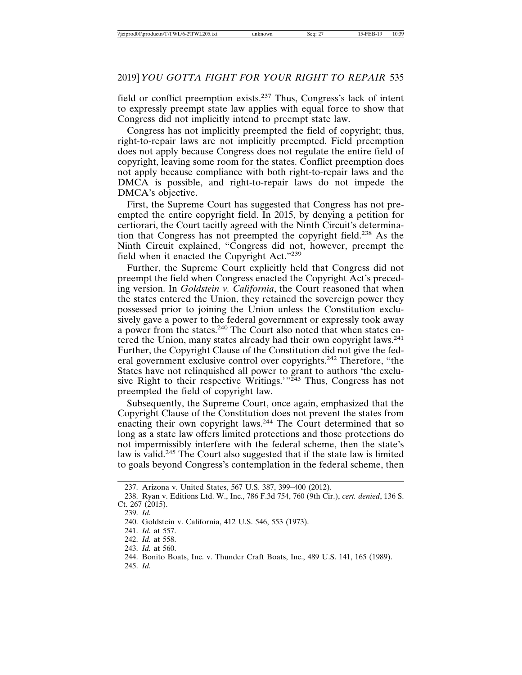field or conflict preemption exists.237 Thus, Congress's lack of intent to expressly preempt state law applies with equal force to show that Congress did not implicitly intend to preempt state law.

Congress has not implicitly preempted the field of copyright; thus, right-to-repair laws are not implicitly preempted. Field preemption does not apply because Congress does not regulate the entire field of copyright, leaving some room for the states. Conflict preemption does not apply because compliance with both right-to-repair laws and the DMCA is possible, and right-to-repair laws do not impede the DMCA's objective.

First, the Supreme Court has suggested that Congress has not preempted the entire copyright field. In 2015, by denying a petition for certiorari, the Court tacitly agreed with the Ninth Circuit's determination that Congress has not preempted the copyright field.238 As the Ninth Circuit explained, "Congress did not, however, preempt the field when it enacted the Copyright Act."<sup>239</sup>

Further, the Supreme Court explicitly held that Congress did not preempt the field when Congress enacted the Copyright Act's preceding version. In *Goldstein v. California*, the Court reasoned that when the states entered the Union, they retained the sovereign power they possessed prior to joining the Union unless the Constitution exclusively gave a power to the federal government or expressly took away a power from the states.<sup>240</sup> The Court also noted that when states entered the Union, many states already had their own copyright laws.<sup>241</sup> Further, the Copyright Clause of the Constitution did not give the federal government exclusive control over copyrights.<sup>242</sup> Therefore, "the States have not relinquished all power to grant to authors 'the exclusive Right to their respective Writings.'<sup>"243</sup> Thus, Congress has not preempted the field of copyright law.

Subsequently, the Supreme Court, once again, emphasized that the Copyright Clause of the Constitution does not prevent the states from enacting their own copyright laws.<sup>244</sup> The Court determined that so long as a state law offers limited protections and those protections do not impermissibly interfere with the federal scheme, then the state's law is valid.<sup>245</sup> The Court also suggested that if the state law is limited to goals beyond Congress's contemplation in the federal scheme, then

<sup>237.</sup> Arizona v. United States, 567 U.S. 387, 399–400 (2012).

<sup>238.</sup> Ryan v. Editions Ltd. W., Inc., 786 F.3d 754, 760 (9th Cir.), *cert. denied*, 136 S. Ct. 267 (2015).

<sup>239.</sup> *Id.*

<sup>240.</sup> Goldstein v. California, 412 U.S. 546, 553 (1973).

<sup>241.</sup> *Id.* at 557.

<sup>242.</sup> *Id.* at 558.

<sup>243.</sup> *Id.* at 560.

<sup>244.</sup> Bonito Boats, Inc. v. Thunder Craft Boats, Inc., 489 U.S. 141, 165 (1989).

<sup>245.</sup> *Id.*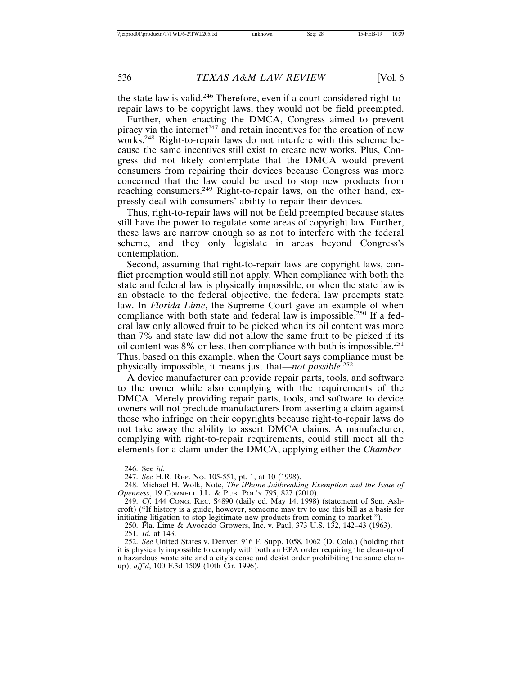the state law is valid.246 Therefore, even if a court considered right-torepair laws to be copyright laws, they would not be field preempted.

Further, when enacting the DMCA, Congress aimed to prevent piracy via the internet<sup> $247$ </sup> and retain incentives for the creation of new works.<sup>248</sup> Right-to-repair laws do not interfere with this scheme because the same incentives still exist to create new works. Plus, Congress did not likely contemplate that the DMCA would prevent consumers from repairing their devices because Congress was more concerned that the law could be used to stop new products from reaching consumers.<sup>249</sup> Right-to-repair laws, on the other hand, expressly deal with consumers' ability to repair their devices.

Thus, right-to-repair laws will not be field preempted because states still have the power to regulate some areas of copyright law. Further, these laws are narrow enough so as not to interfere with the federal scheme, and they only legislate in areas beyond Congress's contemplation.

Second, assuming that right-to-repair laws are copyright laws, conflict preemption would still not apply. When compliance with both the state and federal law is physically impossible, or when the state law is an obstacle to the federal objective, the federal law preempts state law. In *Florida Lime*, the Supreme Court gave an example of when compliance with both state and federal law is impossible.<sup>250</sup> If a federal law only allowed fruit to be picked when its oil content was more than 7% and state law did not allow the same fruit to be picked if its oil content was 8% or less, then compliance with both is impossible.<sup>251</sup> Thus, based on this example, when the Court says compliance must be physically impossible, it means just that—*not possible*. 252

A device manufacturer can provide repair parts, tools, and software to the owner while also complying with the requirements of the DMCA. Merely providing repair parts, tools, and software to device owners will not preclude manufacturers from asserting a claim against those who infringe on their copyrights because right-to-repair laws do not take away the ability to assert DMCA claims. A manufacturer, complying with right-to-repair requirements, could still meet all the elements for a claim under the DMCA, applying either the *Chamber-*

<sup>246.</sup> See *id.*

<sup>247.</sup> *See* H.R. REP. NO. 105-551, pt. 1, at 10 (1998).

<sup>248.</sup> Michael H. Wolk, Note, *The iPhone Jailbreaking Exemption and the Issue of Openness*, 19 CORNELL J.L. & PUB. POL'Y 795, 827 (2010).

<sup>249.</sup> *Cf.* 144 CONG. REC. S4890 (daily ed. May 14, 1998) (statement of Sen. Ashcroft) ("If history is a guide, however, someone may try to use this bill as a basis for initiating litigation to stop legitimate new products from coming to market.").

<sup>250.</sup> Fla. Lime & Avocado Growers, Inc. v. Paul, 373 U.S. 132, 142–43 (1963).

<sup>251.</sup> *Id.* at 143.

<sup>252.</sup> *See* United States v. Denver, 916 F. Supp. 1058, 1062 (D. Colo.) (holding that it is physically impossible to comply with both an EPA order requiring the clean-up of a hazardous waste site and a city's cease and desist order prohibiting the same cleanup), *aff'd*, 100 F.3d 1509 (10th Cir. 1996).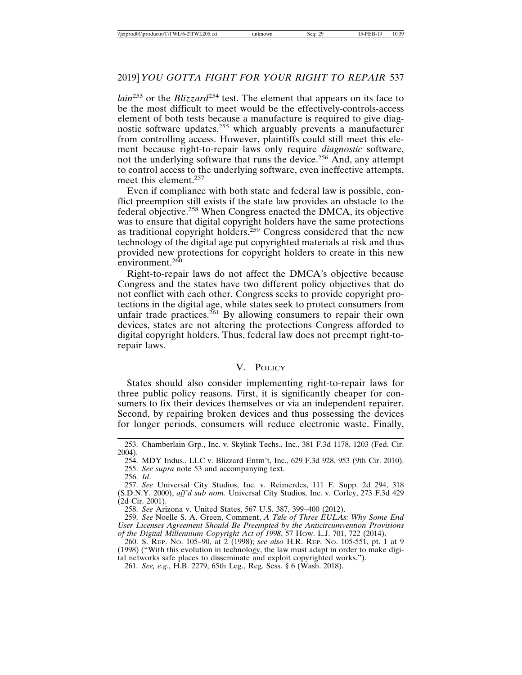*lain*253 or the *Blizzard*254 test. The element that appears on its face to be the most difficult to meet would be the effectively-controls-access element of both tests because a manufacture is required to give diagnostic software updates,<sup>255</sup> which arguably prevents a manufacturer from controlling access. However, plaintiffs could still meet this element because right-to-repair laws only require *diagnostic* software, not the underlying software that runs the device.256 And, any attempt to control access to the underlying software, even ineffective attempts, meet this element.<sup>257</sup>

Even if compliance with both state and federal law is possible, conflict preemption still exists if the state law provides an obstacle to the federal objective.258 When Congress enacted the DMCA, its objective was to ensure that digital copyright holders have the same protections as traditional copyright holders.<sup>259</sup> Congress considered that the new technology of the digital age put copyrighted materials at risk and thus provided new protections for copyright holders to create in this new environment. $260$ 

Right-to-repair laws do not affect the DMCA's objective because Congress and the states have two different policy objectives that do not conflict with each other. Congress seeks to provide copyright protections in the digital age, while states seek to protect consumers from unfair trade practices.<sup>261</sup> By allowing consumers to repair their own devices, states are not altering the protections Congress afforded to digital copyright holders. Thus, federal law does not preempt right-torepair laws.

#### V. POLICY

States should also consider implementing right-to-repair laws for three public policy reasons. First, it is significantly cheaper for consumers to fix their devices themselves or via an independent repairer. Second, by repairing broken devices and thus possessing the devices for longer periods, consumers will reduce electronic waste. Finally,

<sup>253.</sup> Chamberlain Grp., Inc. v. Skylink Techs., Inc., 381 F.3d 1178, 1203 (Fed. Cir. 2004).

<sup>254.</sup> MDY Indus., LLC v. Blizzard Entm't, Inc., 629 F.3d 928, 953 (9th Cir. 2010). 255. *See supra* note 53 and accompanying text.

<sup>256.</sup> *Id*.

<sup>257.</sup> *See* Universal City Studios, Inc. v. Reimerdes, 111 F. Supp. 2d 294, 318 (S.D.N.Y. 2000), *aff'd sub nom.* Universal City Studios, Inc. v. Corley, 273 F.3d 429 (2d Cir. 2001).

<sup>258.</sup> *See* Arizona v. United States, 567 U.S. 387, 399–400 (2012).

<sup>259.</sup> *See* Noelle S. A. Green, Comment, *A Tale of Three EULAs: Why Some End User Licenses Agreement Should Be Preempted by the Anticircumvention Provisions of the Digital Millennium Copyright Act of 1998*, 57 HOW. L.J. 701, 722 (2014).

<sup>260.</sup> S. REP. NO. 105–90, at 2 (1998); *see also* H.R. REP. NO. 105-551, pt. 1 at 9 (1998) ("With this evolution in technology, the law must adapt in order to make digi-

tal networks safe places to disseminate and exploit copyrighted works.").

<sup>261.</sup> *See, e.g.*, H.B. 2279, 65th Leg., Reg. Sess. § 6 (Wash. 2018).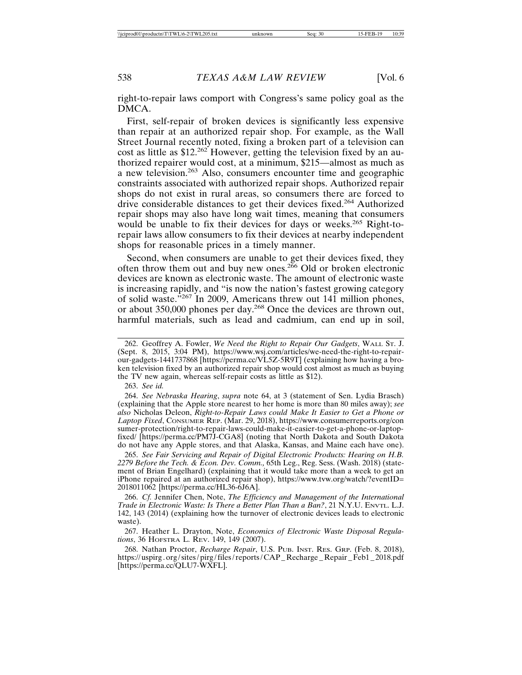right-to-repair laws comport with Congress's same policy goal as the DMCA.

First, self-repair of broken devices is significantly less expensive than repair at an authorized repair shop. For example, as the Wall Street Journal recently noted, fixing a broken part of a television can cost as little as \$12.262 However, getting the television fixed by an authorized repairer would cost, at a minimum, \$215—almost as much as a new television.263 Also, consumers encounter time and geographic constraints associated with authorized repair shops. Authorized repair shops do not exist in rural areas, so consumers there are forced to drive considerable distances to get their devices fixed.264 Authorized repair shops may also have long wait times, meaning that consumers would be unable to fix their devices for days or weeks.<sup>265</sup> Right-torepair laws allow consumers to fix their devices at nearby independent shops for reasonable prices in a timely manner.

Second, when consumers are unable to get their devices fixed, they often throw them out and buy new ones.<sup>266</sup> Old or broken electronic devices are known as electronic waste. The amount of electronic waste is increasing rapidly, and "is now the nation's fastest growing category of solid waste."<sup>267</sup> In 2009, Americans threw out 141 million phones, or about 350,000 phones per day.268 Once the devices are thrown out, harmful materials, such as lead and cadmium, can end up in soil,

263. *See id.*

264. *See Nebraska Hearing*, *supra* note 64, at 3 (statement of Sen. Lydia Brasch) (explaining that the Apple store nearest to her home is more than 80 miles away); *see also* Nicholas Deleon, *Right-to-Repair Laws could Make It Easier to Get a Phone or Laptop Fixed*, CONSUMER REP. (Mar. 29, 2018), https://www.consumerreports.org/con sumer-protection/right-to-repair-laws-could-make-it-easier-to-get-a-phone-or-laptopfixed/ [https://perma.cc/PM7J-CGA8] (noting that North Dakota and South Dakota do not have any Apple stores, and that Alaska, Kansas, and Maine each have one).

265. *See Fair Servicing and Repair of Digital Electronic Products: Hearing on H.B. 2279 Before the Tech. & Econ. Dev. Comm.,* 65th Leg., Reg. Sess. (Wash. 2018) (statement of Brian Engelhard) (explaining that it would take more than a week to get an iPhone repaired at an authorized repair shop), https://www.tvw.org/watch/?eventID= 2018011062 [https://perma.cc/HL36-6J6A].

266. *Cf.* Jennifer Chen, Note, *The Efficiency and Management of the International Trade in Electronic Waste: Is There a Better Plan Than a Ban?*, 21 N.Y.U. ENVTL. L.J. 142, 143 (2014) (explaining how the turnover of electronic devices leads to electronic waste).

267. Heather L. Drayton, Note, *Economics of Electronic Waste Disposal Regulations*, 36 HOFSTRA L. REV. 149, 149 (2007).

268. Nathan Proctor, *Recharge Repair*, U.S. PUB. INST. RES. GRP. (Feb. 8, 2018), https://uspirg.org/sites/pirg/files/reports/CAP\_Recharge\_Repair\_Feb1\_2018.pdf [https://perma.cc/QLU7-WXFL].

<sup>262.</sup> Geoffrey A. Fowler, *We Need the Right to Repair Our Gadgets*, WALL ST. J. (Sept. 8, 2015, 3:04 PM), https://www.wsj.com/articles/we-need-the-right-to-repairour-gadgets-1441737868 [https://perma.cc/VL5Z-5R9T] (explaining how having a broken television fixed by an authorized repair shop would cost almost as much as buying the TV new again, whereas self-repair costs as little as \$12).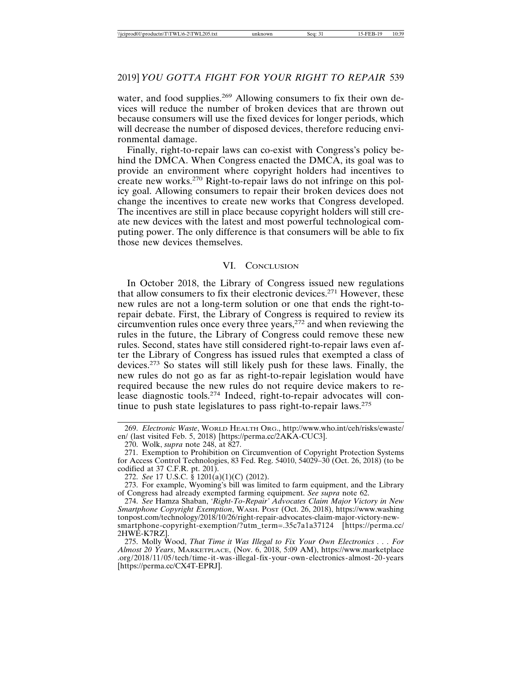#### 2019] *YOU GOTTA FIGHT FOR YOUR RIGHT TO REPAIR* 539

water, and food supplies.<sup>269</sup> Allowing consumers to fix their own devices will reduce the number of broken devices that are thrown out because consumers will use the fixed devices for longer periods, which will decrease the number of disposed devices, therefore reducing environmental damage.

Finally, right-to-repair laws can co-exist with Congress's policy behind the DMCA. When Congress enacted the DMCA, its goal was to provide an environment where copyright holders had incentives to create new works.270 Right-to-repair laws do not infringe on this policy goal. Allowing consumers to repair their broken devices does not change the incentives to create new works that Congress developed. The incentives are still in place because copyright holders will still create new devices with the latest and most powerful technological computing power. The only difference is that consumers will be able to fix those new devices themselves.

#### VI. CONCLUSION

In October 2018, the Library of Congress issued new regulations that allow consumers to fix their electronic devices.<sup>271</sup> However, these new rules are not a long-term solution or one that ends the right-torepair debate. First, the Library of Congress is required to review its circumvention rules once every three years,<sup>272</sup> and when reviewing the rules in the future, the Library of Congress could remove these new rules. Second, states have still considered right-to-repair laws even after the Library of Congress has issued rules that exempted a class of devices.273 So states will still likely push for these laws. Finally, the new rules do not go as far as right-to-repair legislation would have required because the new rules do not require device makers to release diagnostic tools.274 Indeed, right-to-repair advocates will continue to push state legislatures to pass right-to-repair laws.<sup>275</sup>

272. *See* 17 U.S.C. § 1201(a)(1)(C) (2012).

<sup>269.</sup> *Electronic Waste*, WORLD HEALTH ORG., http://www.who.int/ceh/risks/ewaste/ en/ (last visited Feb. 5, 2018) [https://perma.cc/2AKA-CUC3].

<sup>270.</sup> Wolk, *supra* note 248, at 827.

<sup>271.</sup> Exemption to Prohibition on Circumvention of Copyright Protection Systems for Access Control Technologies, 83 Fed. Reg. 54010, 54029–30 (Oct. 26, 2018) (to be codified at 37 C.F.R. pt. 201).

<sup>273.</sup> For example, Wyoming's bill was limited to farm equipment, and the Library of Congress had already exempted farming equipment. *See supra* note 62.

<sup>274.</sup> *See* Hamza Shaban, *'Right-To-Repair' Advocates Claim Major Victory in New Smartphone Copyright Exemption*, WASH. POST (Oct. 26, 2018), https://www.washing tonpost.com/technology/2018/10/26/right-repair-advocates-claim-major-victory-newsmartphone-copyright-exemption/?utm\_term=.35c7a1a37124 [https://perma.cc/ 2HWE-K7RZ].

<sup>275.</sup> Molly Wood, *That Time it Was Illegal to Fix Your Own Electronics . . . For Almost 20 Years*, MARKETPLACE, (Nov. 6, 2018, 5:09 AM), https://www.marketplace .org/2018/11/05/tech/time-it-was-illegal-fix-your-own-electronics-almost-20-years [https://perma.cc/CX4T-EPRJ].